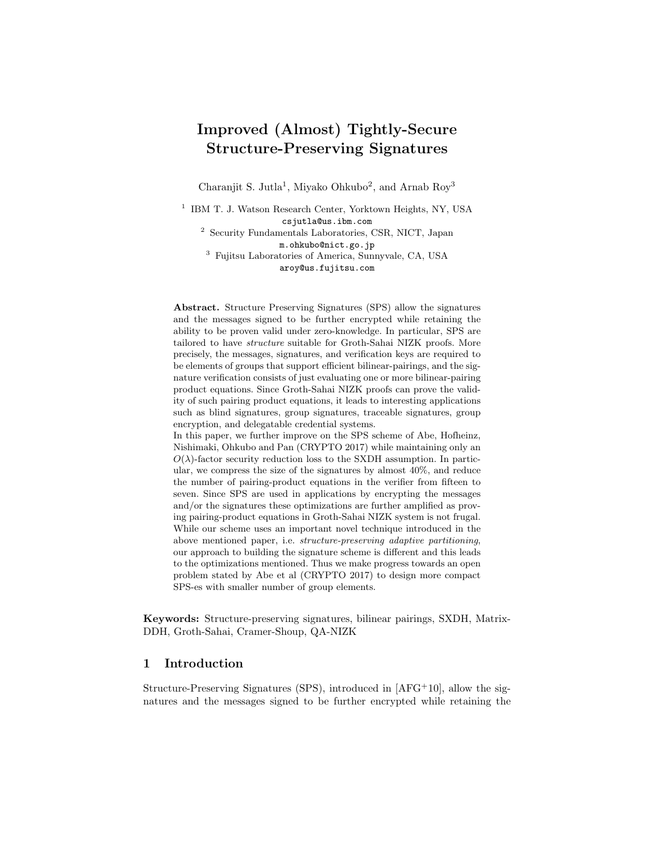# Improved (Almost) Tightly-Secure Structure-Preserving Signatures

Charanjit S. Jutla<sup>1</sup>, Miyako Ohkubo<sup>2</sup>, and Arnab Roy<sup>3</sup>

<sup>1</sup> IBM T. J. Watson Research Center, Yorktown Heights, NY, USA csjutla@us.ibm.com <sup>2</sup> Security Fundamentals Laboratories, CSR, NICT, Japan m.ohkubo@nict.go.jp <sup>3</sup> Fujitsu Laboratories of America, Sunnyvale, CA, USA aroy@us.fujitsu.com

Abstract. Structure Preserving Signatures (SPS) allow the signatures and the messages signed to be further encrypted while retaining the ability to be proven valid under zero-knowledge. In particular, SPS are tailored to have structure suitable for Groth-Sahai NIZK proofs. More precisely, the messages, signatures, and verification keys are required to be elements of groups that support efficient bilinear-pairings, and the signature verification consists of just evaluating one or more bilinear-pairing product equations. Since Groth-Sahai NIZK proofs can prove the validity of such pairing product equations, it leads to interesting applications such as blind signatures, group signatures, traceable signatures, group encryption, and delegatable credential systems. In this paper, we further improve on the SPS scheme of Abe, Hofheinz,

Nishimaki, Ohkubo and Pan (CRYPTO 2017) while maintaining only an  $O(\lambda)$ -factor security reduction loss to the SXDH assumption. In particular, we compress the size of the signatures by almost 40%, and reduce the number of pairing-product equations in the verifier from fifteen to seven. Since SPS are used in applications by encrypting the messages and/or the signatures these optimizations are further amplified as proving pairing-product equations in Groth-Sahai NIZK system is not frugal. While our scheme uses an important novel technique introduced in the above mentioned paper, i.e. structure-preserving adaptive partitioning, our approach to building the signature scheme is different and this leads to the optimizations mentioned. Thus we make progress towards an open problem stated by Abe et al (CRYPTO 2017) to design more compact SPS-es with smaller number of group elements.

Keywords: Structure-preserving signatures, bilinear pairings, SXDH, Matrix-DDH, Groth-Sahai, Cramer-Shoup, QA-NIZK

### 1 Introduction

Structure-Preserving Signatures (SPS), introduced in [AFG<sup>+</sup>10], allow the signatures and the messages signed to be further encrypted while retaining the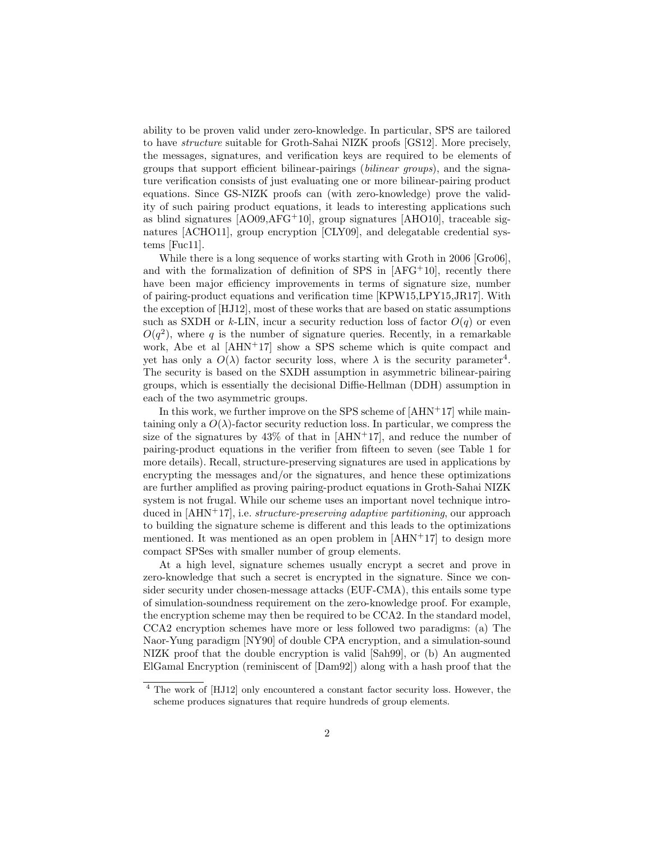ability to be proven valid under zero-knowledge. In particular, SPS are tailored to have structure suitable for Groth-Sahai NIZK proofs [GS12]. More precisely, the messages, signatures, and verification keys are required to be elements of groups that support efficient bilinear-pairings (bilinear groups), and the signature verification consists of just evaluating one or more bilinear-pairing product equations. Since GS-NIZK proofs can (with zero-knowledge) prove the validity of such pairing product equations, it leads to interesting applications such as blind signatures [AO09,AFG+10], group signatures [AHO10], traceable signatures [ACHO11], group encryption [CLY09], and delegatable credential systems [Fuc11].

While there is a long sequence of works starting with Groth in 2006 [Gro06], and with the formalization of definition of SPS in  $[AFG<sup>+</sup>10]$ , recently there have been major efficiency improvements in terms of signature size, number of pairing-product equations and verification time [KPW15,LPY15,JR17]. With the exception of [HJ12], most of these works that are based on static assumptions such as SXDH or k-LIN, incur a security reduction loss of factor  $O(q)$  or even  $O(q^2)$ , where q is the number of signature queries. Recently, in a remarkable work, Abe et al [AHN+17] show a SPS scheme which is quite compact and yet has only a  $O(\lambda)$  factor security loss, where  $\lambda$  is the security parameter<sup>4</sup>. The security is based on the SXDH assumption in asymmetric bilinear-pairing groups, which is essentially the decisional Diffie-Hellman (DDH) assumption in each of the two asymmetric groups.

In this work, we further improve on the SPS scheme of  $[AHN+17]$  while maintaining only a  $O(\lambda)$ -factor security reduction loss. In particular, we compress the size of the signatures by  $43\%$  of that in [AHN+17], and reduce the number of pairing-product equations in the verifier from fifteen to seven (see Table 1 for more details). Recall, structure-preserving signatures are used in applications by encrypting the messages and/or the signatures, and hence these optimizations are further amplified as proving pairing-product equations in Groth-Sahai NIZK system is not frugal. While our scheme uses an important novel technique introduced in  $[AHN+17]$ , i.e. *structure-preserving adaptive partitioning*, our approach to building the signature scheme is different and this leads to the optimizations mentioned. It was mentioned as an open problem in  $[AHN+17]$  to design more compact SPSes with smaller number of group elements.

At a high level, signature schemes usually encrypt a secret and prove in zero-knowledge that such a secret is encrypted in the signature. Since we consider security under chosen-message attacks (EUF-CMA), this entails some type of simulation-soundness requirement on the zero-knowledge proof. For example, the encryption scheme may then be required to be CCA2. In the standard model, CCA2 encryption schemes have more or less followed two paradigms: (a) The Naor-Yung paradigm [NY90] of double CPA encryption, and a simulation-sound NIZK proof that the double encryption is valid [Sah99], or (b) An augmented ElGamal Encryption (reminiscent of [Dam92]) along with a hash proof that the

<sup>4</sup> The work of [HJ12] only encountered a constant factor security loss. However, the scheme produces signatures that require hundreds of group elements.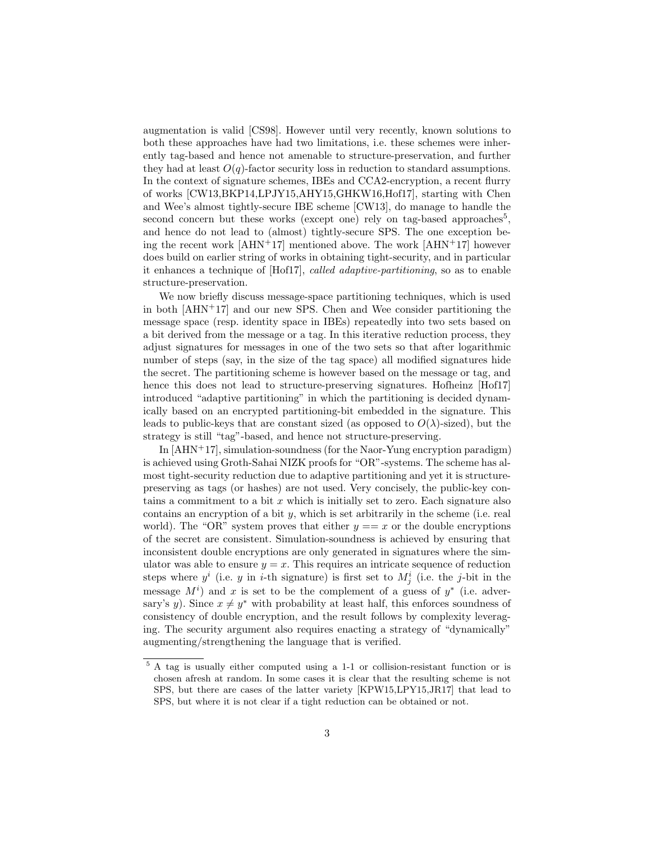augmentation is valid [CS98]. However until very recently, known solutions to both these approaches have had two limitations, i.e. these schemes were inherently tag-based and hence not amenable to structure-preservation, and further they had at least  $O(q)$ -factor security loss in reduction to standard assumptions. In the context of signature schemes, IBEs and CCA2-encryption, a recent flurry of works [CW13,BKP14,LPJY15,AHY15,GHKW16,Hof17], starting with Chen and Wee's almost tightly-secure IBE scheme [CW13], do manage to handle the second concern but these works (except one) rely on tag-based approaches<sup>5</sup>, and hence do not lead to (almost) tightly-secure SPS. The one exception being the recent work  $[AHN+17]$  mentioned above. The work  $[AHN+17]$  however does build on earlier string of works in obtaining tight-security, and in particular it enhances a technique of [Hof17], called adaptive-partitioning, so as to enable structure-preservation.

We now briefly discuss message-space partitioning techniques, which is used in both [AHN+17] and our new SPS. Chen and Wee consider partitioning the message space (resp. identity space in IBEs) repeatedly into two sets based on a bit derived from the message or a tag. In this iterative reduction process, they adjust signatures for messages in one of the two sets so that after logarithmic number of steps (say, in the size of the tag space) all modified signatures hide the secret. The partitioning scheme is however based on the message or tag, and hence this does not lead to structure-preserving signatures. Hofheinz [Hof17] introduced "adaptive partitioning" in which the partitioning is decided dynamically based on an encrypted partitioning-bit embedded in the signature. This leads to public-keys that are constant sized (as opposed to  $O(\lambda)$ -sized), but the strategy is still "tag"-based, and hence not structure-preserving.

In  $[AHN+17]$ , simulation-soundness (for the Naor-Yung encryption paradigm) is achieved using Groth-Sahai NIZK proofs for "OR"-systems. The scheme has almost tight-security reduction due to adaptive partitioning and yet it is structurepreserving as tags (or hashes) are not used. Very concisely, the public-key contains a commitment to a bit  $x$  which is initially set to zero. Each signature also contains an encryption of a bit  $y$ , which is set arbitrarily in the scheme (i.e. real world). The "OR" system proves that either  $y == x$  or the double encryptions of the secret are consistent. Simulation-soundness is achieved by ensuring that inconsistent double encryptions are only generated in signatures where the simulator was able to ensure  $y = x$ . This requires an intricate sequence of reduction steps where  $y^i$  (i.e. y in *i*-th signature) is first set to  $M_j^i$  (i.e. the *j*-bit in the message  $M^i$ ) and x is set to be the complement of a guess of  $y^*$  (i.e. adversary's y). Since  $x \neq y^*$  with probability at least half, this enforces soundness of consistency of double encryption, and the result follows by complexity leveraging. The security argument also requires enacting a strategy of "dynamically" augmenting/strengthening the language that is verified.

<sup>5</sup> A tag is usually either computed using a 1-1 or collision-resistant function or is chosen afresh at random. In some cases it is clear that the resulting scheme is not SPS, but there are cases of the latter variety [KPW15,LPY15,JR17] that lead to SPS, but where it is not clear if a tight reduction can be obtained or not.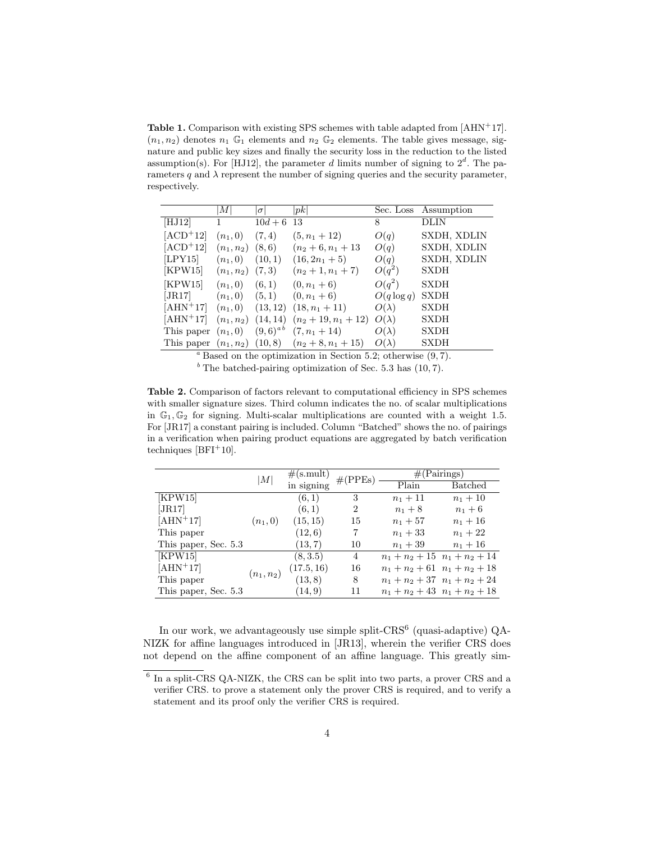**Table 1.** Comparison with existing SPS schemes with table adapted from  $[AHN<sup>+</sup>17]$ .  $(n_1, n_2)$  denotes  $n_1$  G<sub>1</sub> elements and  $n_2$  G<sub>2</sub> elements. The table gives message, signature and public key sizes and finally the security loss in the reduction to the listed assumption(s). For [HJ12], the parameter d limits number of signing to  $2^d$ . The parameters q and  $\lambda$  represent the number of signing queries and the security parameter, respectively.

|            | M <sub>l</sub>        | $\sigma$             | pk                                                      |               | Sec. Loss Assumption |
|------------|-----------------------|----------------------|---------------------------------------------------------|---------------|----------------------|
| [HJ12]     | 1                     | $\overline{10}d + 6$ | -13                                                     | 8             | DLIN                 |
| $[ACD+12]$ | $(n_1, 0)$            | (7, 4)               | $(5, n_1 + 12)$                                         | O(q)          | SXDH, XDLIN          |
| $[ACD+12]$ | $(n_1, n_2)$ $(8, 6)$ |                      | $(n_2+6,n_1+13)$                                        | O(q)          | SXDH, XDLIN          |
| [LPY15]    | $(n_1, 0)$            | (10, 1)              | $(16, 2n_1 + 5)$                                        | O(q)          | SXDH, XDLIN          |
| [KPW15]    | $(n_1, n_2)$ $(7, 3)$ |                      | $(n_2+1,n_1+7)$                                         | $O(q^2)$      | <b>SXDH</b>          |
| [KPW15]    | $(n_1, 0)$            | (6, 1)               | $(0, n_1 + 6)$                                          | $O(q^2)$      | <b>SXDH</b>          |
| [JR17]     | $(n_1,0)$             | (5,1)                | $(0, n_1 + 6)$                                          | $O(q \log q)$ | <b>SXDH</b>          |
| $[AHN+17]$ | $(n_1,0)$             | (13, 12)             | $(18, n_1 + 11)$                                        | $O(\lambda)$  | <b>SXDH</b>          |
| $[AHN+17]$ | $(n_1, n_2)$          | (14, 14)             | $(n_2+19,n_1+12)$                                       | $O(\lambda)$  | <b>SXDH</b>          |
| This paper | $(n_1,0)$             |                      | $(9,6)^{ab}$ $(7, n_1+14)$                              | $O(\lambda)$  | <b>SXDH</b>          |
|            |                       |                      | This paper $(n_1, n_2)$ $(10, 8)$ $(n_2 + 8, n_1 + 15)$ | $O(\lambda)$  | <b>SXDH</b>          |

 $a<sup>a</sup>$  Based on the optimization in Section 5.2; otherwise  $(9, 7)$ .

 $<sup>b</sup>$  The batched-pairing optimization of Sec. 5.3 has (10, 7).</sup>

Table 2. Comparison of factors relevant to computational efficiency in SPS schemes with smaller signature sizes. Third column indicates the no. of scalar multiplications in  $\mathbb{G}_1, \mathbb{G}_2$  for signing. Multi-scalar multiplications are counted with a weight 1.5. For [JR17] a constant pairing is included. Column "Batched" shows the no. of pairings in a verification when pairing product equations are aggregated by batch verification techniques  $[BFI<sup>+</sup>10]$ .

|                      | M            | #(s.mult)  | #(PPEs)        | $#(\text{Pairings})$      |                           |  |  |  |
|----------------------|--------------|------------|----------------|---------------------------|---------------------------|--|--|--|
|                      |              | in signing |                | Plain                     | <b>Batched</b>            |  |  |  |
| [KPW15]              |              | (6, 1)     | 3              | $n_1 + 11$                | $n_1 + 10$                |  |  |  |
| [JR17]               |              | (6, 1)     | $\overline{2}$ | $n_1 + 8$                 | $n_1 + 6$                 |  |  |  |
| $[AHN+17]$           | $(n_1, 0)$   | (15, 15)   | 15             | $n_1 + 57$                | $n_1 + 16$                |  |  |  |
| This paper           |              | (12, 6)    | 7              | $n_1 + 33$                | $n_1 + 22$                |  |  |  |
| This paper, Sec. 5.3 |              | (13, 7)    | 10             | $n_1 + 39$                | $n_1 + 16$                |  |  |  |
| [KPW15]              |              | (8, 3.5)   | $\overline{4}$ |                           | $n_1+n_2+15$ $n_1+n_2+14$ |  |  |  |
| $[AHN+17]$           | $(n_1, n_2)$ | (17.5, 16) | 16             | $n_1+n_2+61$ $n_1+n_2+18$ |                           |  |  |  |
| This paper           |              | (13, 8)    | 8              |                           | $n_1+n_2+37$ $n_1+n_2+24$ |  |  |  |
| This paper, Sec. 5.3 |              | (14, 9)    | 11             |                           | $n_1+n_2+43$ $n_1+n_2+18$ |  |  |  |

In our work, we advantageously use simple split-CRS<sup>6</sup> (quasi-adaptive) QA-NIZK for affine languages introduced in [JR13], wherein the verifier CRS does not depend on the affine component of an affine language. This greatly sim-

<sup>6</sup> In a split-CRS QA-NIZK, the CRS can be split into two parts, a prover CRS and a verifier CRS. to prove a statement only the prover CRS is required, and to verify a statement and its proof only the verifier CRS is required.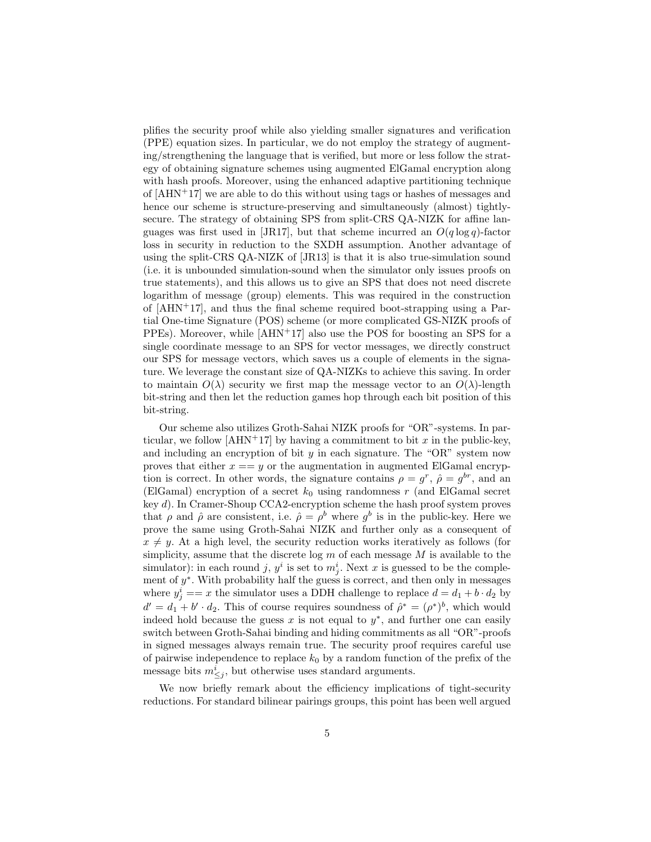plifies the security proof while also yielding smaller signatures and verification (PPE) equation sizes. In particular, we do not employ the strategy of augmenting/strengthening the language that is verified, but more or less follow the strategy of obtaining signature schemes using augmented ElGamal encryption along with hash proofs. Moreover, using the enhanced adaptive partitioning technique of  $[AHN+17]$  we are able to do this without using tags or hashes of messages and hence our scheme is structure-preserving and simultaneously (almost) tightlysecure. The strategy of obtaining SPS from split-CRS QA-NIZK for affine languages was first used in [JR17], but that scheme incurred an  $O(q \log q)$ -factor loss in security in reduction to the SXDH assumption. Another advantage of using the split-CRS QA-NIZK of [JR13] is that it is also true-simulation sound (i.e. it is unbounded simulation-sound when the simulator only issues proofs on true statements), and this allows us to give an SPS that does not need discrete logarithm of message (group) elements. This was required in the construction of  $[AHN+17]$ , and thus the final scheme required boot-strapping using a Partial One-time Signature (POS) scheme (or more complicated GS-NIZK proofs of  $PPEs$ ). Moreover, while  $[AHN+17]$  also use the POS for boosting an SPS for a single coordinate message to an SPS for vector messages, we directly construct our SPS for message vectors, which saves us a couple of elements in the signature. We leverage the constant size of QA-NIZKs to achieve this saving. In order to maintain  $O(\lambda)$  security we first map the message vector to an  $O(\lambda)$ -length bit-string and then let the reduction games hop through each bit position of this bit-string.

Our scheme also utilizes Groth-Sahai NIZK proofs for "OR"-systems. In particular, we follow [AHN+17] by having a commitment to bit x in the public-key, and including an encryption of bit  $y$  in each signature. The "OR" system now proves that either  $x == y$  or the augmentation in augmented ElGamal encryption is correct. In other words, the signature contains  $\rho = g^r$ ,  $\hat{\rho} = g^{br}$ , and an (ElGamal) encryption of a secret  $k_0$  using randomness r (and ElGamal secret key d). In Cramer-Shoup CCA2-encryption scheme the hash proof system proves that  $\rho$  and  $\hat{\rho}$  are consistent, i.e.  $\hat{\rho} = \rho^b$  where  $g^b$  is in the public-key. Here we prove the same using Groth-Sahai NIZK and further only as a consequent of  $x \neq y$ . At a high level, the security reduction works iteratively as follows (for simplicity, assume that the discrete log  $m$  of each message  $M$  is available to the simulator): in each round j,  $y^i$  is set to  $m_j^i$ . Next x is guessed to be the complement of  $y^*$ . With probability half the guess is correct, and then only in messages where  $y_j^i == x$  the simulator uses a DDH challenge to replace  $d = d_1 + b \cdot d_2$  by  $d' = d_1 + b' \cdot d_2$ . This of course requires soundness of  $\hat{\rho}^* = (\rho^*)^b$ , which would indeed hold because the guess  $x$  is not equal to  $y^*$ , and further one can easily switch between Groth-Sahai binding and hiding commitments as all "OR"-proofs in signed messages always remain true. The security proof requires careful use of pairwise independence to replace  $k_0$  by a random function of the prefix of the message bits  $m^i_{\leq j}$ , but otherwise uses standard arguments.

We now briefly remark about the efficiency implications of tight-security reductions. For standard bilinear pairings groups, this point has been well argued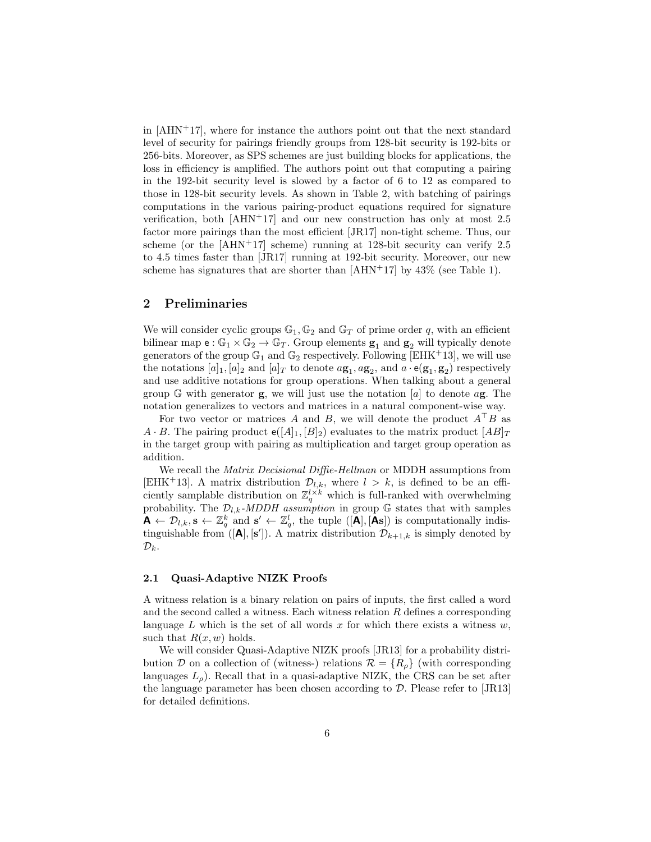in  $[AHN+17]$ , where for instance the authors point out that the next standard level of security for pairings friendly groups from 128-bit security is 192-bits or 256-bits. Moreover, as SPS schemes are just building blocks for applications, the loss in efficiency is amplified. The authors point out that computing a pairing in the 192-bit security level is slowed by a factor of 6 to 12 as compared to those in 128-bit security levels. As shown in Table 2, with batching of pairings computations in the various pairing-product equations required for signature verification, both  $[AHN+17]$  and our new construction has only at most 2.5 factor more pairings than the most efficient [JR17] non-tight scheme. Thus, our scheme (or the  $[AHN+17]$  scheme) running at 128-bit security can verify 2.5 to 4.5 times faster than [JR17] running at 192-bit security. Moreover, our new scheme has signatures that are shorter than  $[AHN+17]$  by  $43\%$  (see Table 1).

## 2 Preliminaries

We will consider cyclic groups  $\mathbb{G}_1, \mathbb{G}_2$  and  $\mathbb{G}_T$  of prime order q, with an efficient bilinear map  $e : \mathbb{G}_1 \times \mathbb{G}_2 \to \mathbb{G}_T$ . Group elements  $\mathbf{g}_1$  and  $\mathbf{g}_2$  will typically denote generators of the group  $\mathbb{G}_1$  and  $\mathbb{G}_2$  respectively. Following [EHK<sup>+</sup>13], we will use the notations  $[a]_1$ ,  $[a]_2$  and  $[a]_T$  to denote  $a\mathbf{g}_1, a\mathbf{g}_2$ , and  $a \cdot \mathbf{e}(\mathbf{g}_1, \mathbf{g}_2)$  respectively and use additive notations for group operations. When talking about a general group  $\mathbb{G}$  with generator **g**, we will just use the notation [a] to denote a**g**. The notation generalizes to vectors and matrices in a natural component-wise way.

For two vector or matrices A and B, we will denote the product  $A^{\dagger}B$  as  $A \cdot B$ . The pairing product  $e([A]_1, [B]_2)$  evaluates to the matrix product  $[AB]_T$ in the target group with pairing as multiplication and target group operation as addition.

We recall the *Matrix Decisional Diffie-Hellman* or MDDH assumptions from [EHK<sup>+</sup>13]. A matrix distribution  $\mathcal{D}_{l,k}$ , where  $l > k$ , is defined to be an efficiently samplable distribution on  $\mathbb{Z}_q^{l \times k}$  which is full-ranked with overwhelming probability. The  $\mathcal{D}_{l,k}$ -MDDH assumption in group G states that with samples  $\mathbf{A} \leftarrow \mathcal{D}_{l,k}, \mathbf{s} \leftarrow \mathbb{Z}_q^k$  and  $\mathbf{s}' \leftarrow \mathbb{Z}_q^l$ , the tuple  $([\mathbf{A}], [\mathbf{A}\mathbf{s}])$  is computationally indistinguishable from  $([\mathbf{A}], [\mathbf{s}'])$ . A matrix distribution  $\mathcal{D}_{k+1,k}$  is simply denoted by  $\mathcal{D}_k$ .

### 2.1 Quasi-Adaptive NIZK Proofs

A witness relation is a binary relation on pairs of inputs, the first called a word and the second called a witness. Each witness relation  $R$  defines a corresponding language  $L$  which is the set of all words  $x$  for which there exists a witness  $w$ , such that  $R(x, w)$  holds.

We will consider Quasi-Adaptive NIZK proofs [JR13] for a probability distribution D on a collection of (witness-) relations  $\mathcal{R} = \{R_{\rho}\}\$  (with corresponding languages  $L_{\rho}$ ). Recall that in a quasi-adaptive NIZK, the CRS can be set after the language parameter has been chosen according to D. Please refer to [JR13] for detailed definitions.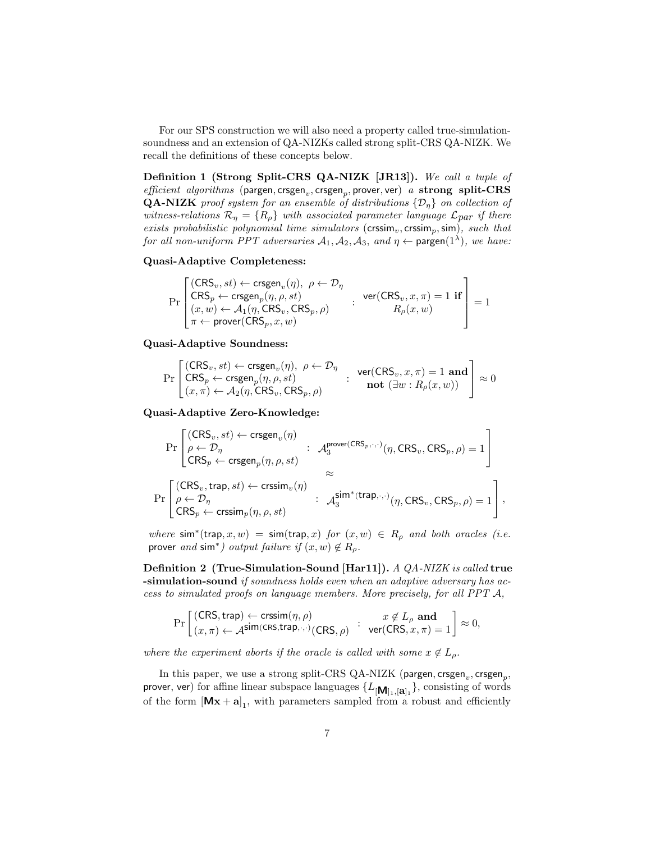For our SPS construction we will also need a property called true-simulationsoundness and an extension of QA-NIZKs called strong split-CRS QA-NIZK. We recall the definitions of these concepts below.

Definition 1 (Strong Split-CRS QA-NIZK [JR13]). We call a tuple of  $\mathit{efficient \ algorithms}$  (pargen, crsgen<sub>v</sub>, crsgen<sub>p</sub>, prover, ver) a strong split-CRS **QA-NIZK** proof system for an ensemble of distributions  $\{\mathcal{D}_\eta\}$  on collection of witness-relations  $\mathcal{R}_{\eta} = \{R_{\rho}\}\$  with associated parameter language  $\mathcal{L}_{par}$  if there exists probabilistic polynomial time simulators ( $\text{cissim}_v, \text{cissim}_p, \text{sim}$ ), such that for all non-uniform PPT adversaries  $A_1, A_2, A_3$ , and  $\eta \leftarrow$  pargen $(1^{\lambda})$ , we have:

### Quasi-Adaptive Completeness:

$$
\Pr\left[\begin{matrix}(\mathsf{CRS}_v, st) \leftarrow \mathsf{crsgen}_v(\eta), \ \rho \leftarrow \mathcal{D}_\eta \\ \mathsf{CRS}_p \leftarrow \mathsf{crsgen}_p(\eta, \rho, st) \\ (x, w) \leftarrow \mathcal{A}_1(\eta, \mathsf{CRS}_v, \mathsf{CRS}_p, \rho) \\ \pi \leftarrow \mathsf{prover}(\mathsf{CRS}_p, x, w) \end{matrix}\right] : \begin{matrix} \mathsf{ver}(\mathsf{CRS}_v, x, \pi) = 1 \ \mathbf{if} \\ R_\rho(x, w) \end{matrix}\right] = 1
$$

### Quasi-Adaptive Soundness:

$$
\Pr\left[\begin{matrix}(\mathsf{CRS}_v, st) \leftarrow \mathsf{crsgen}_v(\eta), \ \rho \leftarrow \mathcal{D}_\eta\\ \mathsf{CRS}_p \leftarrow \mathsf{crsgen}_p(\eta, \rho, st)\\ (x, \pi) \leftarrow \mathcal{A}_2(\eta, \mathsf{CRS}_v, \mathsf{CRS}_p, \rho)\end{matrix}\right] : \begin{matrix} \mathsf{ver}(\mathsf{CRS}_v, x, \pi) = 1 \ \mathbf{and} \\ \mathsf{not} \ (\exists w : R_\rho(x, w))\end{matrix}\right] \approx 0
$$

Quasi-Adaptive Zero-Knowledge:

$$
\Pr\begin{bmatrix} (\mathsf{CRS}_v, st) \leftarrow \mathsf{crsgen}_v(\eta) \\ \rho \leftarrow \mathcal{D}_\eta \\ \mathsf{CRS}_p \leftarrow \mathsf{crsgen}_p(\eta, \rho, st) \end{bmatrix} : \begin{array}{l} \mathcal{A}_3^{\mathsf{prover}(\mathsf{CRS}_p, \cdot, \cdot)}(\eta, \mathsf{CRS}_v, \mathsf{CRS}_p, \rho) = 1 \\ \approx \\ \approx \\ \Pr\begin{bmatrix} (\mathsf{CRS}_v, \mathsf{trap}, st) \leftarrow \mathsf{crssim}_v(\eta) \\ \rho \leftarrow \mathcal{D}_\eta \\ \mathsf{CRS}_p \leftarrow \mathsf{crssim}_p(\eta, \rho, st) \end{bmatrix} : \begin{array}{l} \mathcal{A}_3^{\mathsf{sim}^*(\mathsf{trap}, \cdot, \cdot)}(\eta, \mathsf{CRS}_v, \mathsf{CRS}_p, \rho) = 1 \\ \cdot \mathcal{A}_3^{\mathsf{sim}^*(\mathsf{trap}, \cdot, \cdot)}(\eta, \mathsf{CRS}_v, \mathsf{CRS}_p, \rho) = 1 \end{array} \right],
$$

where  $\sin^*(\tan x, w) = \sin(\tan x)$  for  $(x, w) \in R_\rho$  and both oracles (i.e. prover and sim<sup>\*</sup>) output failure if  $(x, w) \notin R_\rho$ .

Definition 2 (True-Simulation-Sound [Har11]). A QA-NIZK is called true -simulation-sound if soundness holds even when an adaptive adversary has access to simulated proofs on language members. More precisely, for all PPT A,

$$
\Pr\left[\frac{\text{(CRS, trap)} \leftarrow \text{crssim}(\eta, \rho) \hspace{10pt} \colon \hspace{10pt} x \notin L_{\rho} \text{ and } \\ (x, \pi) \leftarrow \mathcal{A}^{\text{sim}(\text{CRS,trap}, \cdot, \cdot)}(\text{CRS}, \rho) \hspace{10pt} \colon \text{ver}(\text{CRS}, x, \pi) = 1 \right] \approx 0,
$$

where the experiment aborts if the oracle is called with some  $x \notin L_{\rho}$ .

In this paper, we use a strong split-CRS QA-NIZK (pargen,  $\mathrm{crsgen}_v, \mathrm{crsgen}_p,$ prover, ver) for affine linear subspace languages  $\{L_{[\mathbf{M}]_1, [\mathbf{a}]_1}\},$  consisting of words of the form  $[Mx + a]_1$ , with parameters sampled from a robust and efficiently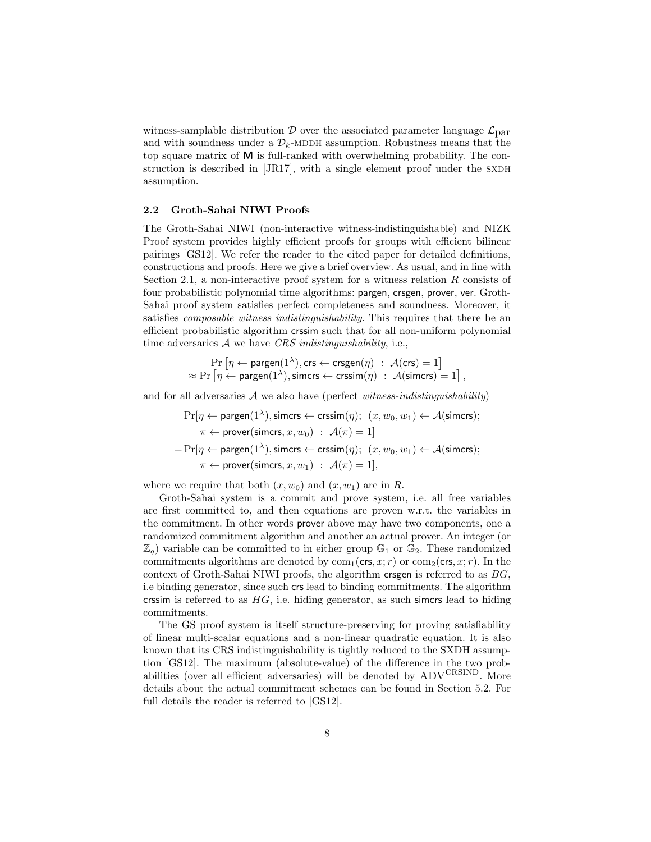witness-samplable distribution  $\mathcal D$  over the associated parameter language  $\mathcal L_{\text{par}}$ and with soundness under a  $\mathcal{D}_k$ -MDDH assumption. Robustness means that the top square matrix of M is full-ranked with overwhelming probability. The construction is described in  $[JRI7]$ , with a single element proof under the SXDH assumption.

### 2.2 Groth-Sahai NIWI Proofs

The Groth-Sahai NIWI (non-interactive witness-indistinguishable) and NIZK Proof system provides highly efficient proofs for groups with efficient bilinear pairings [GS12]. We refer the reader to the cited paper for detailed definitions, constructions and proofs. Here we give a brief overview. As usual, and in line with Section 2.1, a non-interactive proof system for a witness relation  $R$  consists of four probabilistic polynomial time algorithms: pargen, crsgen, prover, ver. Groth-Sahai proof system satisfies perfect completeness and soundness. Moreover, it satisfies *composable witness indistinguishability*. This requires that there be an efficient probabilistic algorithm crssim such that for all non-uniform polynomial time adversaries  $A$  we have CRS indistinguishability, i.e.,

$$
\Pr\left[\eta \leftarrow \text{pargen}(1^{\lambda}), \text{crs} \leftarrow \text{crsgen}(\eta) : \mathcal{A}(\text{crs}) = 1\right] \\ \approx \Pr\left[\eta \leftarrow \text{pargen}(1^{\lambda}), \text{simcrs} \leftarrow \text{crssim}(\eta) : \mathcal{A}(\text{simcrs}) = 1\right],
$$

and for all adversaries  $A$  we also have (perfect witness-indistinguishability)

$$
\Pr[\eta \leftarrow \text{pargen}(1^{\lambda}), \text{simcrs} \leftarrow \text{crssim}(\eta); \ (x, w_0, w_1) \leftarrow \mathcal{A}(\text{simcrs});
$$
\n
$$
\pi \leftarrow \text{prover}(\text{simcrs}, x, w_0) : \mathcal{A}(\pi) = 1]
$$
\n
$$
= \Pr[\eta \leftarrow \text{pargen}(1^{\lambda}), \text{simcrs} \leftarrow \text{crssim}(\eta); \ (x, w_0, w_1) \leftarrow \mathcal{A}(\text{simcrs});
$$
\n
$$
\pi \leftarrow \text{prover}(\text{simcrs}, x, w_1) : \mathcal{A}(\pi) = 1],
$$

where we require that both  $(x, w_0)$  and  $(x, w_1)$  are in R.

Groth-Sahai system is a commit and prove system, i.e. all free variables are first committed to, and then equations are proven w.r.t. the variables in the commitment. In other words prover above may have two components, one a randomized commitment algorithm and another an actual prover. An integer (or  $\mathbb{Z}_q$ ) variable can be committed to in either group  $\mathbb{G}_1$  or  $\mathbb{G}_2$ . These randomized commitments algorithms are denoted by  $com_1(crs, x; r)$  or  $com_2(crs, x; r)$ . In the context of Groth-Sahai NIWI proofs, the algorithm crispen is referred to as  $BG$ , i.e binding generator, since such crs lead to binding commitments. The algorithm crssim is referred to as  $HG$ , i.e. hiding generator, as such simcrs lead to hiding commitments.

The GS proof system is itself structure-preserving for proving satisfiability of linear multi-scalar equations and a non-linear quadratic equation. It is also known that its CRS indistinguishability is tightly reduced to the SXDH assumption [GS12]. The maximum (absolute-value) of the difference in the two probabilities (over all efficient adversaries) will be denoted by  $\mathrm{ADV}^\mathrm{CRSIND}$ . More details about the actual commitment schemes can be found in Section 5.2. For full details the reader is referred to [GS12].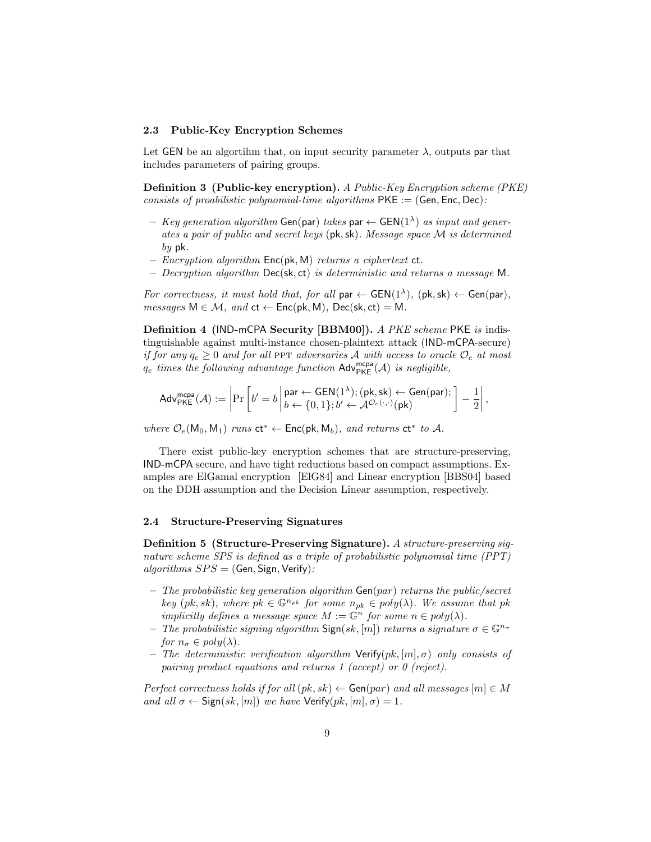#### 2.3 Public-Key Encryption Schemes

Let GEN be an algortihm that, on input security parameter  $\lambda$ , outputs par that includes parameters of pairing groups.

Definition 3 (Public-key encryption). A Public-Key Encryption scheme (PKE) consists of proabilistic polynomial-time algorithms  $PKE := (Gen, Enc, Dec)$ .

- $-$  Key generation algorithm Gen(par) takes par  $\leftarrow$  GEN(1<sup> $\lambda$ </sup>) as input and generates a pair of public and secret keys (pk,sk). Message space M is determined  $bv$  pk.
- Encryption algorithm  $Enc(\mathsf{pk}, \mathsf{M})$  returns a ciphertext  $ct$ .
- Decryption algorithm  $Dec(s, ct)$  is deterministic and returns a message M.

For correctness, it must hold that, for all par  $\leftarrow$  GEN(1<sup> $\lambda$ </sup>), (pk, sk)  $\leftarrow$  Gen(par),  $messages M \in \mathcal{M}, and ct \leftarrow Enc(pk, M), Dec(sk, ct) = M.$ 

Definition 4 (IND-mCPA Security [BBM00]). A PKE scheme PKE is indistinguishable against multi-instance chosen-plaintext attack (IND-mCPA-secure) if for any  $q_e \ge 0$  and for all PPT adversaries A with access to oracle  $\mathcal{O}_e$  at most  $q_e$  times the following advantage function  $\mathsf{Adv}^{\mathsf{mcpa}}_{\mathsf{PKE}}(\mathcal{A})$  is negligible,

$$
\mathsf{Adv}_{\mathsf{PKE}}^{\mathsf{mcpa}}(\mathcal{A}) := \left|\Pr\left[b' = b \left| \begin{matrix} \mathsf{par} \leftarrow \mathsf{GEN}(1^{\lambda}); (\mathsf{pk}, \mathsf{sk}) \leftarrow \mathsf{Gen}(\mathsf{par}); \\ b \leftarrow \{0, 1\}; b' \leftarrow \mathcal{A}^{\mathcal{O}_e(\cdot, \cdot)}(\mathsf{pk}) \end{matrix} \right| - \frac{1}{2} \right|, \right.\right.
$$

where  $\mathcal{O}_e(\mathsf{M}_0, \mathsf{M}_1)$  runs  $ct^* \leftarrow \mathsf{Enc}(\mathsf{pk}, \mathsf{M}_b)$ , and returns  $ct^*$  to A.

There exist public-key encryption schemes that are structure-preserving, IND-mCPA secure, and have tight reductions based on compact assumptions. Examples are ElGamal encryption [ElG84] and Linear encryption [BBS04] based on the DDH assumption and the Decision Linear assumption, respectively.

### 2.4 Structure-Preserving Signatures

Definition 5 (Structure-Preserving Signature). A structure-preserving signature scheme SPS is defined as a triple of probabilistic polynomial time (PPT)  $algorithms SPS = (Gen, Sign, Verify):$ 

- The probabilistic key generation algorithm  $Gen(par)$  returns the public/secret key (pk, sk), where  $pk \in \mathbb{G}^{n_{pk}}$  for some  $n_{pk} \in poly(\lambda)$ . We assume that pk implicitly defines a message space  $M := \mathbb{G}^n$  for some  $n \in poly(\lambda)$ .
- The probabilistic signing algorithm  $Sign(sk, [m])$  returns a signature  $\sigma \in \mathbb{G}^{n_{\sigma}}$ for  $n_{\sigma} \in poly(\lambda)$ .
- The deterministic verification algorithm  $Verify(pk, [m], \sigma)$  only consists of pairing product equations and returns 1 (accept) or 0 (reject).

Perfect correctness holds if for all  $(pk, sk) \leftarrow$  Gen $(par)$  and all messages  $[m] \in M$ and all  $\sigma \leftarrow$  Sign(sk, [m]) we have Verify(pk, [m],  $\sigma$ ) = 1.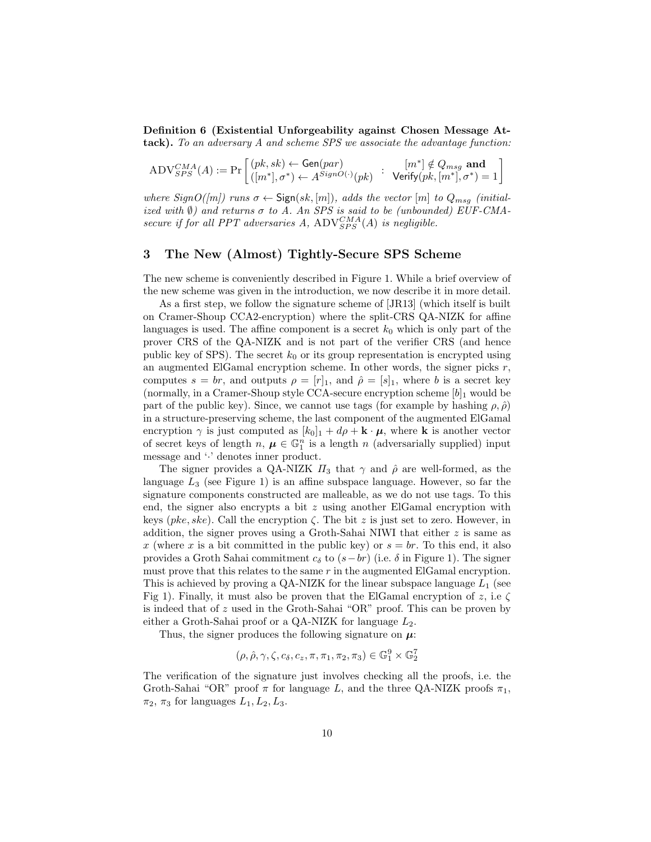Definition 6 (Existential Unforgeability against Chosen Message Attack). To an adversary A and scheme SPS we associate the advantage function:

$$
\text{ADV}_{SPS}^{CMA}(A) := \Pr\left[\begin{matrix} (pk, sk) \leftarrow \text{Gen}(par) & [m^*] \notin Q_{msg} \text{ and } \\ ([m^*], \sigma^*) \leftarrow A^{SignO(\cdot)}(pk) & \text{Verify}(pk, [m^*], \sigma^*) = 1 \end{matrix}\right]\right.
$$

where  $SignO([m])$  runs  $\sigma \leftarrow$  Sign $(sk, [m])$ , adds the vector  $[m]$  to  $Q_{msg}$  (initialized with  $\emptyset$ ) and returns  $\sigma$  to A. An SPS is said to be (unbounded) EUF-CMAsecure if for all PPT adversaries A,  $\text{ADV}_{SPS}^{CMA}(A)$  is negligible.

### 3 The New (Almost) Tightly-Secure SPS Scheme

The new scheme is conveniently described in Figure 1. While a brief overview of the new scheme was given in the introduction, we now describe it in more detail.

As a first step, we follow the signature scheme of [JR13] (which itself is built on Cramer-Shoup CCA2-encryption) where the split-CRS QA-NIZK for affine languages is used. The affine component is a secret  $k_0$  which is only part of the prover CRS of the QA-NIZK and is not part of the verifier CRS (and hence public key of SPS). The secret  $k_0$  or its group representation is encrypted using an augmented ElGamal encryption scheme. In other words, the signer picks  $r$ , computes  $s = br$ , and outputs  $\rho = [r]_1$ , and  $\hat{\rho} = [s]_1$ , where b is a secret key (normally, in a Cramer-Shoup style CCA-secure encryption scheme  $[b]_1$  would be part of the public key). Since, we cannot use tags (for example by hashing  $\rho$ ,  $\hat{\rho}$ ) in a structure-preserving scheme, the last component of the augmented ElGamal encryption  $\gamma$  is just computed as  $[k_0]_1 + d\rho + \mathbf{k} \cdot \boldsymbol{\mu}$ , where **k** is another vector of secret keys of length  $n, \mu \in \mathbb{G}_1^n$  is a length n (adversarially supplied) input message and '·' denotes inner product.

The signer provides a QA-NIZK  $\Pi_3$  that  $\gamma$  and  $\hat{\rho}$  are well-formed, as the language  $L_3$  (see Figure 1) is an affine subspace language. However, so far the signature components constructed are malleable, as we do not use tags. To this end, the signer also encrypts a bit  $z$  using another ElGamal encryption with keys (pke, ske). Call the encryption  $\zeta$ . The bit z is just set to zero. However, in addition, the signer proves using a Groth-Sahai NIWI that either  $z$  is same as x (where x is a bit committed in the public key) or  $s = br$ . To this end, it also provides a Groth Sahai commitment  $c_{\delta}$  to  $(s-br)$  (i.e.  $\delta$  in Figure 1). The signer must prove that this relates to the same  $r$  in the augmented ElGamal encryption. This is achieved by proving a QA-NIZK for the linear subspace language  $L_1$  (see Fig 1). Finally, it must also be proven that the ElGamal encryption of z, i.e  $\zeta$ is indeed that of z used in the Groth-Sahai "OR" proof. This can be proven by either a Groth-Sahai proof or a QA-NIZK for language  $L_2$ .

Thus, the signer produces the following signature on  $\mu$ :

$$
(\rho,\hat{\rho},\gamma,\zeta,c_\delta,c_z,\pi,\pi_1,\pi_2,\pi_3) \in \mathbb{G}_1^9 \times \mathbb{G}_2^7
$$

The verification of the signature just involves checking all the proofs, i.e. the Groth-Sahai "OR" proof  $\pi$  for language L, and the three QA-NIZK proofs  $\pi_1$ ,  $\pi_2$ ,  $\pi_3$  for languages  $L_1, L_2, L_3$ .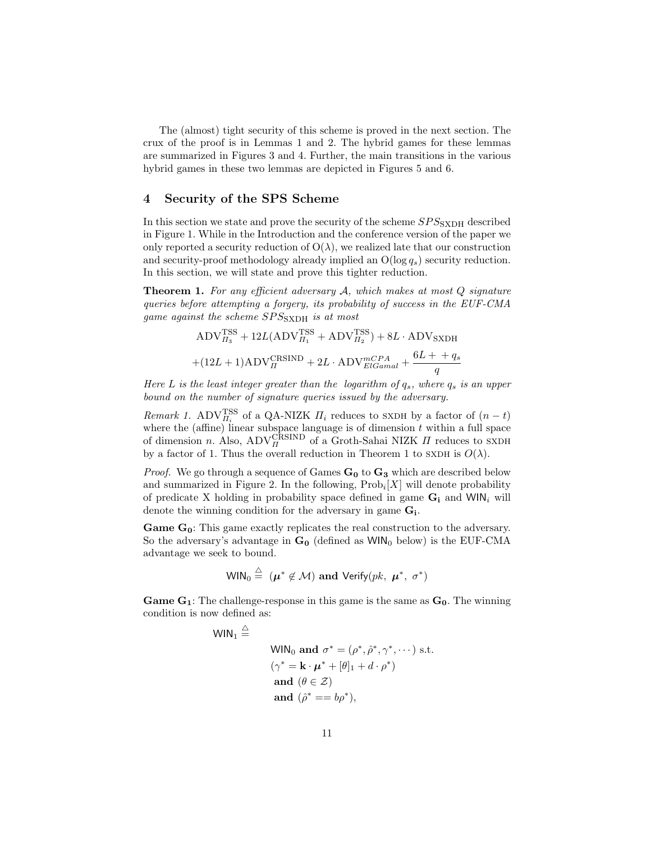The (almost) tight security of this scheme is proved in the next section. The crux of the proof is in Lemmas 1 and 2. The hybrid games for these lemmas are summarized in Figures 3 and 4. Further, the main transitions in the various hybrid games in these two lemmas are depicted in Figures 5 and 6.

### 4 Security of the SPS Scheme

In this section we state and prove the security of the scheme  $SPS_{\rm{SXDH}}$  described in Figure 1. While in the Introduction and the conference version of the paper we only reported a security reduction of  $O(\lambda)$ , we realized late that our construction and security-proof methodology already implied an  $O(\log q_s)$  security reduction. In this section, we will state and prove this tighter reduction.

**Theorem 1.** For any efficient adversary  $A$ , which makes at most  $Q$  signature queries before attempting a forgery, its probability of success in the EUF-CMA game against the scheme  $SPS_{\rm{SXDH}}$  is at most

$$
\begin{aligned} \text{ADV}_{H_3}^{\text{TSS}} + 12 L(\text{ADV}_{H_1}^{\text{TSS}} + \text{ADV}_{H_2}^{\text{TSS}}) + 8 L \cdot \text{ADV}_{\text{SXDH}} \\ + (12 L + 1) \text{ADV}_{H}^{\text{CRSIND}} + 2 L \cdot \text{ADV}_{ElGamal}^{mCPA} + \frac{6 L + + q_s}{q} \end{aligned}
$$

Here L is the least integer greater than the logarithm of  $q_s$ , where  $q_s$  is an upper bound on the number of signature queries issued by the adversary.

*Remark 1.* ADV $_{\Pi_i}^{\text{TSS}}$  of a QA-NIZK  $\Pi_i$  reduces to SXDH by a factor of  $(n-t)$ where the (affine) linear subspace language is of dimension t within a full space of dimension n. Also,  $\text{ADV}_H^{\text{CRSIND}}$  of a Groth-Sahai NIZK  $H$  reduces to SXDH by a factor of 1. Thus the overall reduction in Theorem 1 to SXDH is  $O(\lambda)$ .

*Proof.* We go through a sequence of Games  $G_0$  to  $G_3$  which are described below and summarized in Figure 2. In the following,  $\text{Prob}_i[X]$  will denote probability of predicate X holding in probability space defined in game  $G_i$  and WIN<sub>i</sub> will denote the winning condition for the adversary in game  $G_i$ .

**Game**  $G_0$ **:** This game exactly replicates the real construction to the adversary. So the adversary's advantage in  $G_0$  (defined as WIN<sub>0</sub> below) is the EUF-CMA advantage we seek to bound.

$$
\mathsf{WIN}_0 \stackrel{\triangle}{=} (\mu^* \notin \mathcal{M}) \text{ and } \mathsf{Verify}(pk, \ \mu^*, \ \sigma^*)
$$

**Game G<sub>1</sub>**: The challenge-response in this game is the same as  $G_0$ . The winning condition is now defined as:

WIN $_1$   $\triangleq$ 

WIN<sub>0</sub> and 
$$
\sigma^* = (\rho^*, \hat{\rho}^*, \gamma^*, \cdots)
$$
 s.t.

\n $(\gamma^* = \mathbf{k} \cdot \boldsymbol{\mu}^* + [\theta]_1 + d \cdot \rho^*)$ 

\nand  $(\theta \in \mathcal{Z})$ 

\nand  $(\hat{\rho}^* = b\phi^*),$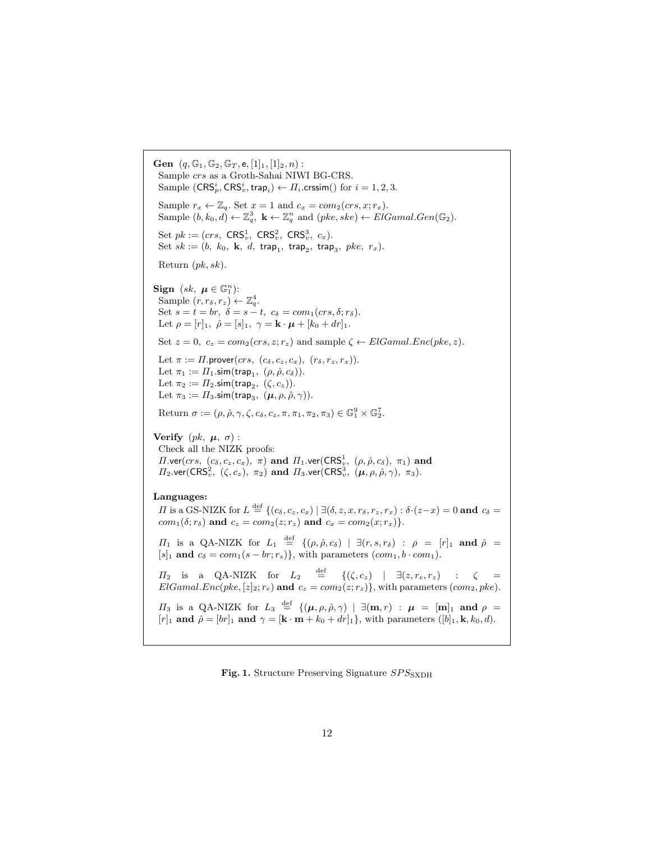```
Gen (q, \mathbb{G}_1, \mathbb{G}_2, \mathbb{G}_T, e, [1]_1, [1]_2, n):
 Sample crs as a Groth-Sahai NIWI BG-CRS.
  Sample (\mathsf{CRS}_p^i,\mathsf{CRS}_v^i,\mathsf{trap}_i) \leftarrow \Pi_i.\mathsf{crssim}() for i=1,2,3.Sample r_x \leftarrow \mathbb{Z}_q. Set x = 1 and c_x = com_2(crs, x; r_x).
  Sample (b, k_0, d) \leftarrow \mathbb{Z}_q^3, \mathbf{k} \leftarrow \mathbb{Z}_q^n and (pke, ske) \leftarrow ElGamal.Gen(\mathbb{G}_2).
  Set pk := (crs, \; \mathsf{CRS}_v^1, \; \mathsf{CRS}_v^2, \; \mathsf{CRS}_v^3, \; c_x).Set sk := (b, k_0, k, d, \text{trap}_1, \text{trap}_2, \text{trap}_3, \text{pke}, r_x).Return (pk, sk).
Sign (sk, \mu \in \mathbb{G}_1^n:
  Sample (r, r_\delta, r_z) \leftarrow \mathbb{Z}_q^4.
  Set s = t = br, \ \delta = s - t, \ c_{\delta} = com_1(crs, \delta; r_{\delta}).Let \rho = [r]_1, \hat{\rho} = [s]_1, \gamma = \mathbf{k} \cdot \boldsymbol{\mu} + [k_0 + dr]_1.
 Set z = 0, c_z = com_2(crs, z; r_z) and sample \zeta \leftarrow ElGamal. Enc(pke, z).
 Let \pi := \Pi.prover(crs, (c_\delta, c_z, c_x), (r_\delta, r_z, r_x)).Let \pi_1 := \Pi_1.\textsf{sim}(\textsf{trap}_1, \;(\rho,\hat{\rho},c_{\delta})).Let \pi_2 := \Pi_2.\mathsf{sim}(\mathsf{trap}_2, \; (\zeta,c_z)).Let \pi_3 := \Pi_3.\mathsf{sim}(\mathsf{trap}_3, \; (\boldsymbol{\mu}, \rho, \hat{\rho}, \gamma)).Return \sigma := (\rho, \hat{\rho}, \gamma, \zeta, c_{\delta}, c_{z}, \pi, \pi_1, \pi_2, \pi_3) \in \mathbb{G}_1^9 \times \mathbb{G}_2^7.
Verify (pk, \mu, \sigma):
 Check all the NIZK proofs:
  \Pi.νer(crs, (c<sub>δ</sub>, c<sub>z</sub>, c<sub>x</sub>), π) and \Pi_1.νer(\textsf{CRS}^1_v, (\rho, \hat{\rho}, c<sub>δ</sub>), π<sub>1</sub>) and
  \Pi_2.\mathsf{ver}(\mathsf{CRS}_v^2,~(\zeta,c_z),~\pi_2) and \Pi_3.\mathsf{ver}(\mathsf{CRS}_v^3,~(\boldsymbol\mu,\rho,\hat\rho,\gamma),~\pi_3).Languages:
  H is a GS-NIZK for L \stackrel{\text{def}}{=} \{(c_{\delta}, c_z, c_x) \mid \exists (\delta, z, x, r_{\delta}, r_z, r_x) : \delta \cdot (z-x) = 0 \text{ and } c_{\delta} = 0 \}com_1(\delta; r_\delta) and c_z = com_2(z; r_z) and c_x = com_2(x; r_x).
  \Pi_1 is a QA-NIZK for L_1 \stackrel{\text{def}}{=} \{(\rho, \hat{\rho}, c_{\delta}) \mid \exists (r, s, r_{\delta}) : \rho = [r]_1 \text{ and } \hat{\rho} =[s]_1 and c_\delta = com_1(s - br; r_s), with parameters (com_1, b \cdot com_1).
  \Pi_2 is a QA-NIZK for L_2 \stackrel{\text{def}}{=} {\{(\zeta, c_z) \mid \exists (z, r_e, r_z) \quad : \quad \zeta = \} }ElGamal. Enc(pke, [z]_2; r_e) and c_z = com_2(z; r_z), with parameters (com_2, pke).
  \Pi_3 is a QA-NIZK for L_3 \stackrel{\text{def}}{=} \{(\mu, \rho, \hat{\rho}, \gamma) \mid \exists (\mathbf{m}, r) : \boldsymbol{\mu} = [\mathbf{m}]_1 \text{ and } \rho =[r]<sub>1</sub> and \hat{\rho} = [br]_1 and \gamma = [\mathbf{k} \cdot \mathbf{m} + k_0 + dr]_1, with parameters ([b]<sub>1</sub>, k, k_0, d).
```
Fig. 1. Structure Preserving Signature  $SPS_{SXDH}$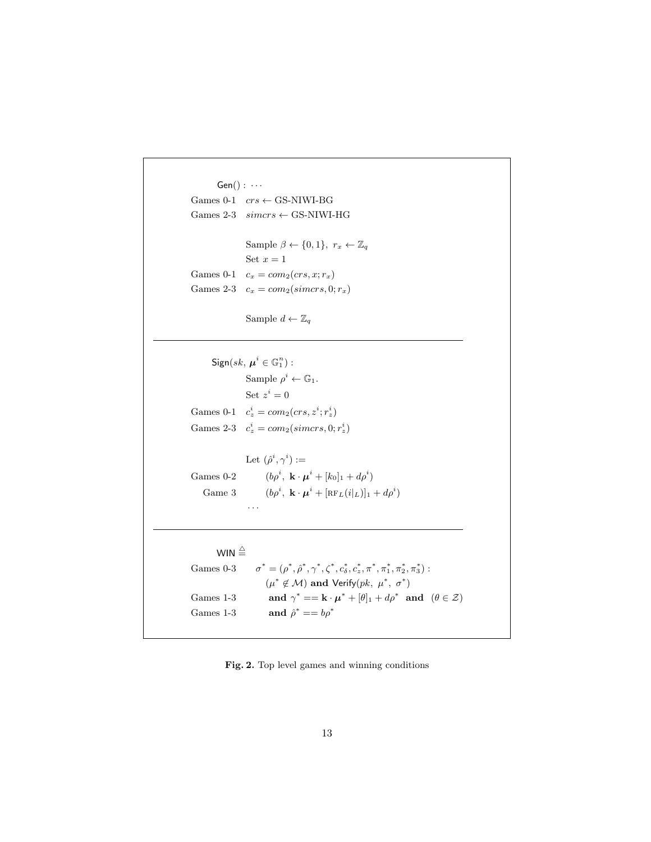```
Gen() : \cdotsGames 0-1 \mathit{crs} \leftarrow GS-NIWI-BG
Games 2-3 \ simcrs \leftarrow GS-NIWI-HG
               Sample \beta \leftarrow \{0, 1\}, r_x \leftarrow \mathbb{Z}_qSet x = 1Games 0-1 c_x = com_2(crs, x; r_x)Games 2-3 c_x = com_2(simcrs, 0; r_x)
```
Sample  $d \leftarrow \mathbb{Z}_q$ 

 $\mathsf{Sign}(sk,\, \boldsymbol{\mu}^i \in \mathbb{G}_1^n):$ Sample  $\rho^i \leftarrow \mathbb{G}_1$ . Set  $z^i = 0$ Games 0-1  $c_z^i = com_2(crs, z^i; r_z^i)$ Games 2-3  $c_z^i = com_2(simcrs, 0; r_z^i)$ Let  $(\hat{\rho}^i, \gamma^i) :=$ 

Games  $0-2$  $, \mathbf{k} \cdot \boldsymbol{\mu}^i + [k_0]_1 + d\rho^i$ Game $3\,$  $, \ \mathbf{k} \cdot \boldsymbol{\mu}^i + [\texttt{\textrm{RF}}_L(i|_L)]_1 + d\rho^i)$ 

· · ·

WIN  $\triangleq$ Games  $0-3$  $^* = (\rho^*, \hat{\rho}^*, \gamma^*, \zeta^*, c_{\delta}^*, c_{z}^*, \pi^*, \pi_1^*, \pi_2^*, \pi_3^*)$ :  $(\mu^* \notin \mathcal{M})$  and Verify $(pk, \mu^*, \sigma^*)$ Games  $1-3$  $^* == \mathbf{k} \cdot \boldsymbol{\mu}^* + [\theta]_1 + d\rho^*$  and  $(\theta \in \mathcal{Z})$ Games  $1-3$ and  $\hat{\rho}^* == b \rho^*$ 

Fig. 2. Top level games and winning conditions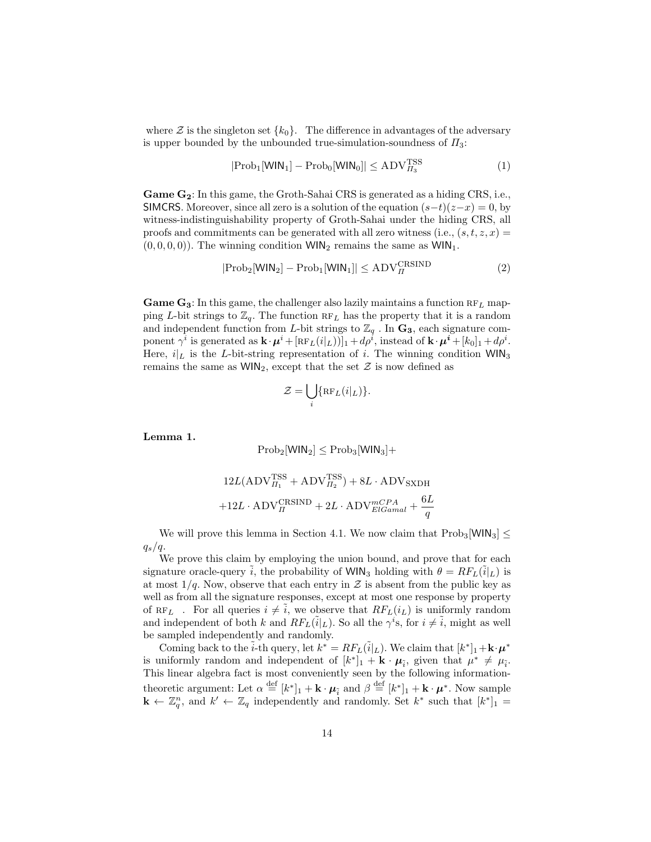where  $\mathcal Z$  is the singleton set  $\{k_0\}$ . The difference in advantages of the adversary is upper bounded by the unbounded true-simulation-soundness of  $\Pi_3$ :

$$
|\text{Prob}_1[\text{WIN}_1] - \text{Prob}_0[\text{WIN}_0]| \le \text{ADV}_{H_3}^{\text{TSS}} \tag{1}
$$

Game  $G_2$ : In this game, the Groth-Sahai CRS is generated as a hiding CRS, i.e., SIMCRS. Moreover, since all zero is a solution of the equation  $(s-t)(z-x) = 0$ , by witness-indistinguishability property of Groth-Sahai under the hiding CRS, all proofs and commitments can be generated with all zero witness (i.e.,  $(s, t, z, x) =$  $(0, 0, 0, 0)$ . The winning condition WIN<sub>2</sub> remains the same as WIN<sub>1</sub>.

$$
|\text{Prob}_2[\text{WIN}_2] - \text{Prob}_1[\text{WIN}_1]| \le \text{ADV}_{\Pi}^{\text{CRSIND}} \tag{2}
$$

Game  $G_3$ : In this game, the challenger also lazily maintains a function  $RF_L$  mapping L-bit strings to  $\mathbb{Z}_q$ . The function  $RF_L$  has the property that it is a random and independent function from L-bit strings to  $\mathbb{Z}_q$ . In  $\mathbf{G}_3$ , each signature component  $\gamma^i$  is generated as  $\mathbf{k} \cdot \boldsymbol{\mu}^i + [\text{RF}_L(i|_L))]_1 + d\rho^i$ , instead of  $\mathbf{k} \cdot \boldsymbol{\mu}^i + [k_0]_1 + d\rho^i$ . Here,  $i|_L$  is the L-bit-string representation of i. The winning condition  $WIN_3$ remains the same as  $WIN<sub>2</sub>$ , except that the set  $Z$  is now defined as

$$
\mathcal{Z} = \bigcup_i \{ \operatorname{RF}_L(i|_L) \}.
$$

Lemma 1.

$$
Prob_2[\text{WIN}_2] \leq Prob_3[\text{WIN}_3] +
$$

$$
12L(\mathrm{ADV}_{H_1}^{\mathrm{TSS}} + \mathrm{ADV}_{H_2}^{\mathrm{TSS}}) + 8L \cdot \mathrm{ADV}_{\mathrm{SXDH}} \\ + 12L \cdot \mathrm{ADV}_{H}^{\mathrm{CRSIND}} + 2L \cdot \mathrm{ADV}_{ElGamal}^{mCPA} + \frac{6L}{q}
$$

We will prove this lemma in Section 4.1. We now claim that  $Prob<sub>3</sub>[WIN<sub>3</sub>]$  <  $q_s/q$ .

We prove this claim by employing the union bound, and prove that for each signature oracle-query i, the probability of WIN<sub>3</sub> holding with  $\theta = RF_L(i|_L)$  is at most  $1/q$ . Now, observe that each entry in  $\mathcal Z$  is absent from the public key as well as from all the signature responses, except at most one response by property of RF<sub>L</sub>. For all queries  $i \neq i$ , we observe that  $RF_L(i_L)$  is uniformly random and independent of both k and  $RF_L(\tilde{i}|_L)$ . So all the  $\gamma^i$ s, for  $i \neq \tilde{i}$ , might as well be sampled independently and randomly.

Coming back to the  $\tilde{i}$ -th query, let  $k^* = RF_L(\tilde{i}|_L)$ . We claim that  $[k^*]_1 + k \cdot \mu^*$ is uniformly random and independent of  $[k^*]_1 + \mathbf{k} \cdot \mu_{\tilde{i}}$ , given that  $\mu^* \neq \mu_{\tilde{i}}$ . This linear algebra fact is most conveniently seen by the following informationtheoretic argument: Let  $\alpha \stackrel{\text{def}}{=} [k^*]_1 + \mathbf{k} \cdot \mu_{\tilde{i}}$  and  $\beta \stackrel{\text{def}}{=} [k^*]_1 + \mathbf{k} \cdot \mu^*$ . Now sample  $\mathbf{k} \leftarrow \mathbb{Z}_q^n$ , and  $k' \leftarrow \mathbb{Z}_q$  independently and randomly. Set  $k^*$  such that  $[k^*]_1 =$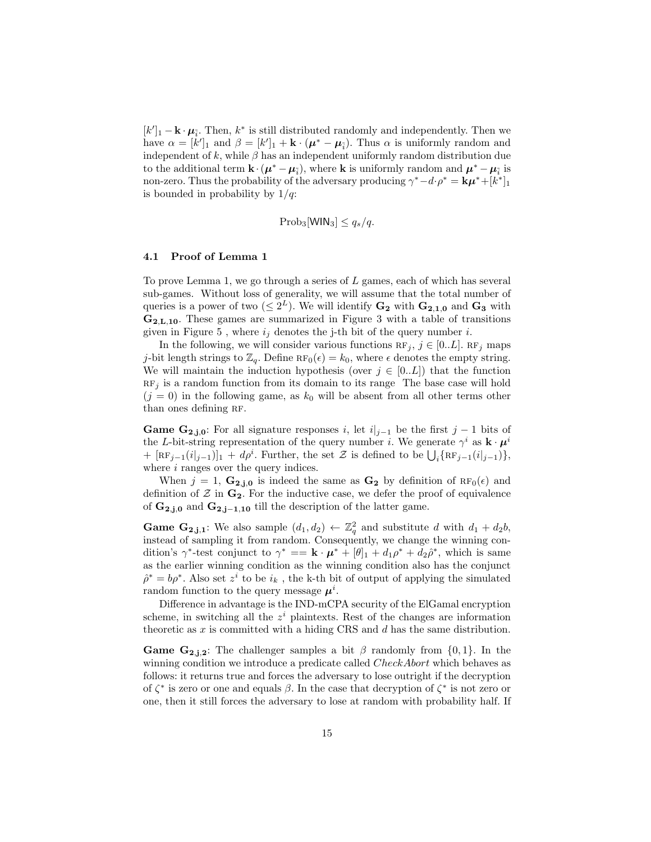$[k']_1 - \mathbf{k} \cdot \boldsymbol{\mu}_{\tilde{i}}$ . Then,  $k^*$  is still distributed randomly and independently. Then we have  $\alpha = [k']_1$  and  $\beta = [k']_1 + \mathbf{k} \cdot (\boldsymbol{\mu}^* - \boldsymbol{\mu}_i)$ . Thus  $\alpha$  is uniformly random and independent of k, while  $\beta$  has an independent uniformly random distribution due to the additional term  $\mathbf{k} \cdot (\boldsymbol{\mu}^* - \boldsymbol{\mu}_{\tilde{i}})$ , where **k** is uniformly random and  $\boldsymbol{\mu}^* - \boldsymbol{\mu}_{\tilde{i}}$  is non-zero. Thus the probability of the adversary producing  $\gamma^* - d \cdot \rho^* = k\mu^* + [k^*]_1$ is bounded in probability by  $1/q$ :

$$
Prob_3[\text{WIN}_3] \le q_s/q.
$$

### 4.1 Proof of Lemma 1

To prove Lemma 1, we go through a series of  $L$  games, each of which has several sub-games. Without loss of generality, we will assume that the total number of queries is a power of two  $(\leq 2^L)$ . We will identify  $\mathbf{G_2}$  with  $\mathbf{G_{2,1,0}}$  and  $\mathbf{G_3}$  with G2,L,10. These games are summarized in Figure 3 with a table of transitions given in Figure 5, where  $i_j$  denotes the j-th bit of the query number i.

In the following, we will consider various functions  $RF_j, j \in [0..L]$ . RF<sub>j</sub> maps j-bit length strings to  $\mathbb{Z}_q$ . Define  $RF_0(\epsilon) = k_0$ , where  $\epsilon$  denotes the empty string. We will maintain the induction hypothesis (over  $j \in [0..L]$ ) that the function  $RF<sub>j</sub>$  is a random function from its domain to its range. The base case will hold  $(j = 0)$  in the following game, as  $k_0$  will be absent from all other terms other than ones defining RF.

**Game G<sub>2,j,0</sub>:** For all signature responses i, let  $i|_{j-1}$  be the first j – 1 bits of the L-bit-string representation of the query number i. We generate  $\gamma^i$  as  $\mathbf{k} \cdot \boldsymbol{\mu}^i$ +  $[\text{RF}_{j-1}(i|_{j-1})]_1 + d\rho^i$ . Further, the set  $\mathcal Z$  is defined to be  $\bigcup_i {\text{RF}_{j-1}(i|_{j-1})}$ , where  $i$  ranges over the query indices.

When  $j = 1$ ,  $\mathbf{G_{2,i,0}}$  is indeed the same as  $\mathbf{G_2}$  by definition of  $\text{RF}_0(\epsilon)$  and definition of  $\mathcal Z$  in  $\mathbf{G}_2$ . For the inductive case, we defer the proof of equivalence of  $G_{2,j,0}$  and  $G_{2,j-1,10}$  till the description of the latter game.

**Game G<sub>2,j,1</sub>:** We also sample  $(d_1, d_2) \leftarrow \mathbb{Z}_q^2$  and substitute d with  $d_1 + d_2b$ , instead of sampling it from random. Consequently, we change the winning condition's  $\gamma^*$ -test conjunct to  $\gamma^* = \mathbf{k} \cdot \boldsymbol{\mu}^* + [\theta]_1 + d_1 \rho^* + d_2 \hat{\rho}^*$ , which is same as the earlier winning condition as the winning condition also has the conjunct  $\hat{\rho}^* = b \rho^*$ . Also set  $z^i$  to be  $i_k$ , the k-th bit of output of applying the simulated random function to the query message  $\mu^i$ .

Difference in advantage is the IND-mCPA security of the ElGamal encryption scheme, in switching all the  $z^i$  plaintexts. Rest of the changes are information theoretic as  $x$  is committed with a hiding CRS and  $d$  has the same distribution.

**Game G<sub>2,j,2</sub>:** The challenger samples a bit  $\beta$  randomly from {0,1}. In the winning condition we introduce a predicate called *CheckAbort* which behaves as follows: it returns true and forces the adversary to lose outright if the decryption of  $\zeta^*$  is zero or one and equals  $\beta$ . In the case that decryption of  $\zeta^*$  is not zero or one, then it still forces the adversary to lose at random with probability half. If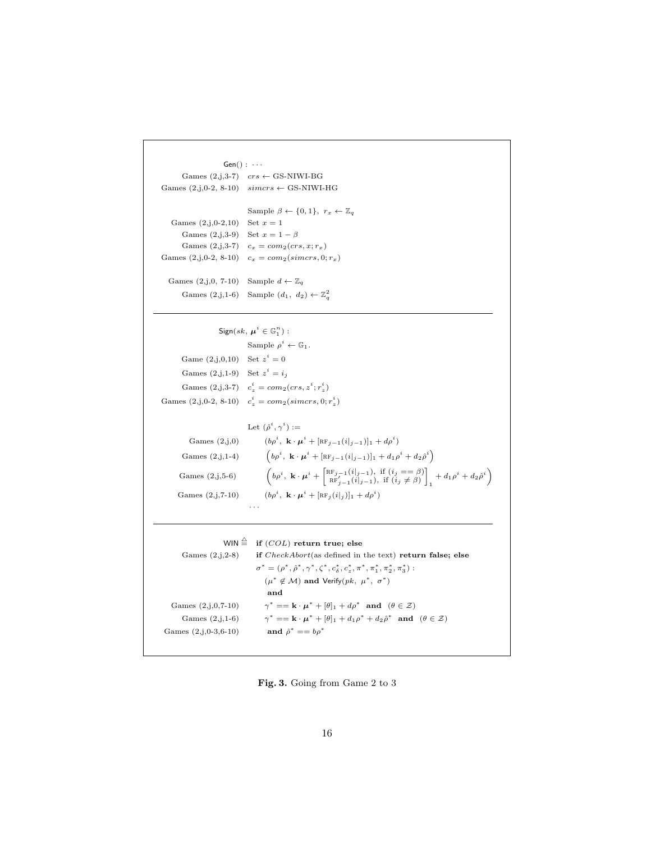```
Gen() : \cdotsGames (2,j,3-7) crs \leftarrow GS-NIWI-BG
Games (2,j,0-2, 8-10) simcrs \leftarrow GS-NIWI-HG
                                     Sample \beta \leftarrow \{0, 1\}, r_x \leftarrow \mathbb{Z}_qGames (2, j, 0, -2, 10) Set x = 1Games (2,j,3-9) Set x=1-\betaGames (2,j,3-7) c_x = com_2(crs, x; r_x)Games (2,j,0-2, 8-10) c_x = com_2(simcrs, 0; r_x)Games (2,j,0, 7-10) Sample d \leftarrow \mathbb{Z}_qGames (2,j,1-6) Sample (d_1, d_2) \leftarrow \mathbb{Z}_q^2\mathsf{Sign}(sk, \, \boldsymbol{\mu}^i \in \mathbb{G}_1^n) :
                                      Sample \rho^i \leftarrow \mathbb{G}_1.
         Game (2, j, 0, 10) Set z^i = 0Games (2, j, 1-9) Set z^i = i_jGames (2,j,3-7) c_z^i = com_2(crs, z^i; r_z^i)Games (2, j, 0.2, 8.10) c_z^i = com_2(simcrs, 0; r_z^i)Let (\hat{\rho}^i, \gamma^i) :=Games (2,i,0), \mathbf{k} \cdot \boldsymbol{\mu}^i + [\text{RF}_{j-1}(i|_{j-1})]_1 + d\rho^iGames (2,j,1-4) 
                                                 b \rho^i, \mathbf{k} \cdot \boldsymbol{\mu}^i + [\texttt{RF}_{j-1}(i|_{j-1})]_1 + d_1 \rho^i + d_2 \hat{\rho}^iGames (2,j,5-6) 
                                                 b<sub>p</sub><sup>i</sup>, k · \mu^{i} + \begin{bmatrix} \text{RF}_{j-1}(i|_{j-1}), & \text{if } (i_{j} == \beta) \\ \text{RF}'_{j-1}(i|_{j-1}), & \text{if } (i_{j} \neq \beta) \end{bmatrix}1
                                                                                                                      \left(1+d_1\rho^i+d_2\hat{\rho}^i\right)Games (2,j,7-10), \mathbf{k} \cdot \boldsymbol{\mu}^i + [\text{RF}_j(i|_j)]_1 + d\rho^i· · ·
                           WIN \stackrel{\triangle}{=} if (COL) return true; else
         Games (2,j,2-8) if CheckAbort(as defined in the text) return false; else
                                          \sigma^* = (\rho^*, \hat{\rho}^*, \gamma^*, \zeta^*, c_{\delta}^*, c_z^*, \pi^*, \pi_1^*, \pi_2^*, \pi_3^*):
                                              (\mu^* \notin \mathcal{M}) and Verify(pk, \mu^*, \sigma^*)and
    Games (2,j,0,7-10)* == \mathbf{k} \cdot \boldsymbol{\mu}^* + [\theta]_1 + d\rho^* and (\theta \in \mathcal{Z})Games (2,j,1-6)* == \mathbf{k} \cdot \boldsymbol{\mu}^* + [\theta]_1 + d_1 \rho^* + d_2 \hat{\rho}^* and (\theta \in \mathcal{Z})Games (2,j,0-3,6-10)and \hat{\rho}^* == b \rho^*
```
Fig. 3. Going from Game 2 to 3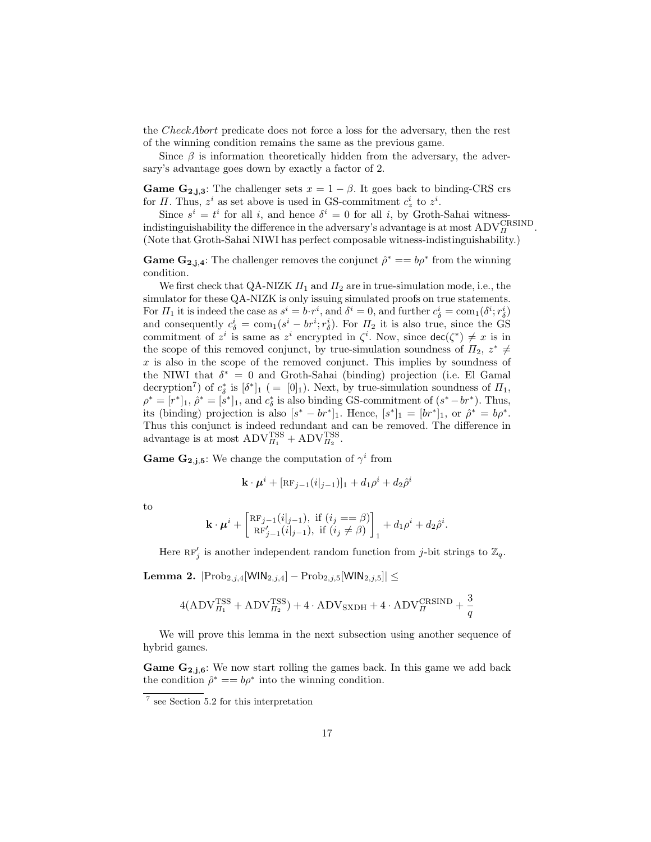the CheckAbort predicate does not force a loss for the adversary, then the rest of the winning condition remains the same as the previous game.

Since  $\beta$  is information theoretically hidden from the adversary, the adversary's advantage goes down by exactly a factor of 2.

**Game G<sub>2,j,3</sub>:** The challenger sets  $x = 1 - \beta$ . It goes back to binding-CRS crs for  $\Pi$ . Thus,  $z^i$  as set above is used in GS-commitment  $c^i_z$  to  $z^i$ .

Since  $s^i = t^i$  for all i, and hence  $\delta^i = 0$  for all i, by Groth-Sahai witnessindistinguishability the difference in the adversary's advantage is at most  $ADV_R^{\text{CRSIND}}$ . (Note that Groth-Sahai NIWI has perfect composable witness-indistinguishability.)

**Game G**<sub>2,j,4</sub>: The challenger removes the conjunct  $\hat{\rho}^* == b\rho^*$  from the winning condition.

We first check that QA-NIZK  $\Pi_1$  and  $\Pi_2$  are in true-simulation mode, i.e., the simulator for these QA-NIZK is only issuing simulated proofs on true statements. For  $\Pi_1$  it is indeed the case as  $s^i = b \cdot r^i$ , and  $\delta^i = 0$ , and further  $c^i_\delta = \text{com}_1(\delta^i; r^i_\delta)$ and consequently  $c^i_\delta = \text{com}_1(s^i - br^i; r^i_\delta)$ . For  $\Pi_2$  it is also true, since the GS commitment of  $z^i$  is same as  $z^i$  encrypted in  $\zeta^i$ . Now, since  $\text{dec}(\zeta^*) \neq x$  is in the scope of this removed conjunct, by true-simulation soundness of  $\Pi_2, z^* \neq$  $x$  is also in the scope of the removed conjunct. This implies by soundness of the NIWI that  $\delta^* = 0$  and Groth-Sahai (binding) projection (i.e. El Gamal decryption<sup>7</sup>) of  $c^*_{\delta}$  is  $[\delta^*]_1$  ( = [0]<sub>1</sub>). Next, by true-simulation soundness of  $\Pi_1$ ,  $\rho^* = [r^*]_1$ ,  $\hat{\rho}^* = [s^*]_1$ , and  $c^*_{\delta}$  is also binding GS-commitment of  $(s^* - br^*)$ . Thus, its (binding) projection is also  $[s^* - br^*]_1$ . Hence,  $[s^*]_1 = [br^*]_1$ , or  $\hat{\rho}^* = b\rho^*$ . Thus this conjunct is indeed redundant and can be removed. The difference in advantage is at most  $\text{ADV}_{H_1}^{\text{TSS}} + \text{ADV}_{H_2}^{\text{TSS}}$ .

**Game G<sub>2,j,5</sub>:** We change the computation of  $\gamma^i$  from

$$
\mathbf{k} \cdot \boldsymbol{\mu}^i + [\texttt{RF}_{j-1}(i|_{j-1})]_1 + d_1 \rho^i + d_2 \hat{\rho}^i
$$

to

$$
\mathbf{k} \cdot \boldsymbol{\mu}^{i} + \begin{bmatrix} \text{RF}_{j-1}(i|_{j-1}), \text{ if } (i_j == \beta) \\ \text{RF}'_{j-1}(i|_{j-1}), \text{ if } (i_j \neq \beta) \end{bmatrix}_{1} + d_1 \rho^{i} + d_2 \hat{\rho}^{i}.
$$

Here  $RF'_{j}$  is another independent random function from j-bit strings to  $\mathbb{Z}_{q}$ .

**Lemma 2.**  $|Prob_{2,j,4}[WIN_{2,j,4}] - Prob_{2,j,5}[WIN_{2,j,5}]| ≤$ 

$$
4(ADV_{II_1}^{TSS} + ADV_{II_2}^{TSS}) + 4 \cdot ADV_{SXDH} + 4 \cdot ADV_{II}^{CRSIND} + \frac{3}{q}
$$

We will prove this lemma in the next subsection using another sequence of hybrid games.

**Game G<sub>2,j,6</sub>:** We now start rolling the games back. In this game we add back the condition  $\hat{\rho}^* = b\rho^*$  into the winning condition.

<sup>7</sup> see Section 5.2 for this interpretation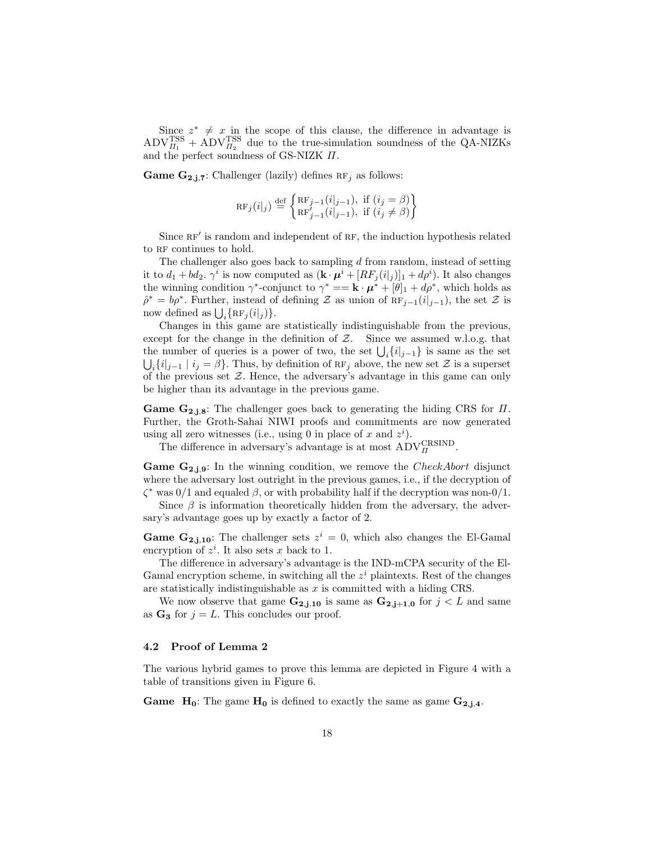Since  $z^* \neq x$  in the scope of this clause, the difference in advantage is  $\text{ADV}_{\Pi_1}^{\text{TSS}} + \text{ADV}_{\Pi_2}^{\text{TSS}}$  due to the true-simulation soundness of the QA-NIZKs and the perfect soundness of GS-NIZK  $\Pi.$ 

**Game G<sub>2,j,7</sub>:** Challenger (lazily) defines  $RF_j$  as follows:

$$
RF_j(i|_j) \stackrel{\text{def}}{=} \begin{cases} RF_{j-1}(i|_{j-1}), & \text{if } (i_j = \beta) \\ RF'_{j-1}(i|_{j-1}), & \text{if } (i_j \neq \beta) \end{cases}
$$

Since RF' is random and independent of RF, the induction hypothesis related to RF continues to hold.

The challenger also goes back to sampling  $d$  from random, instead of setting it to  $d_1 + bd_2$ .  $\gamma^i$  is now computed as  $(\mathbf{k} \cdot \boldsymbol{\mu}^i + [RF_j(i|_j)]_1 + d\rho^i)$ . It also changes the winning condition  $\gamma^*$ -conjunct to  $\gamma^* == \mathbf{k} \cdot \mu^* + [\theta]_1 + d\rho^*$ , which holds as  $\hat{\rho}^* = b\rho^*$ . Further, instead of defining Z as union of  $RF_{j-1}(i|_{j-1})$ , the set Z is now defined as  $\bigcup_i {\{ \operatorname{RF}_j(i|_j ) \}}.$ 

Changes in this game are statistically indistinguishable from the previous, except for the change in the definition of  $Z$ . Since we assumed w.l.o.g. that the number of queries is a power of two, the set  $\bigcup_i \{i|_{j-1}\}$  is same as the set  $\bigcup_i \{i|_{j-1} \mid i_j = \beta\}.$  Thus, by definition of  $RF_j$  above, the new set  $\mathcal Z$  is a superset of the previous set  $\mathcal{Z}$ . Hence, the adversary's advantage in this game can only be higher than its advantage in the previous game.

**Game G<sub>2,j,8</sub>**: The challenger goes back to generating the hiding CRS for  $\Pi$ . Further, the Groth-Sahai NIWI proofs and commitments are now generated using all zero witnesses (i.e., using 0 in place of x and  $z<sup>i</sup>$ ).

The difference in adversary's advantage is at most  $\text{ADV}_H^{\text{CRSIND}}$ .

**Game G<sub>2,j,9</sub>:** In the winning condition, we remove the CheckAbort disjunct where the adversary lost outright in the previous games, i.e., if the decryption of  $\zeta^*$  was  $0/1$  and equaled  $\beta$ , or with probability half if the decryption was non- $0/1$ .

Since  $\beta$  is information theoretically hidden from the adversary, the adversary's advantage goes up by exactly a factor of 2.

**Game G<sub>2,j,10</sub>**: The challenger sets  $z^i = 0$ , which also changes the El-Gamal encryption of  $z^i$ . It also sets x back to 1.

The difference in adversary's advantage is the IND-mCPA security of the El-Gamal encryption scheme, in switching all the  $z<sup>i</sup>$  plaintexts. Rest of the changes are statistically indistinguishable as  $x$  is committed with a hiding CRS.

We now observe that game  $\mathbf{G}_{2,j,10}$  is same as  $\mathbf{G}_{2,j+1,0}$  for  $j < L$  and same as  $G_3$  for  $j = L$ . This concludes our proof.

### 4.2 Proof of Lemma 2

The various hybrid games to prove this lemma are depicted in Figure 4 with a table of transitions given in Figure 6.

**Game**  $H_0$ : The game  $H_0$  is defined to exactly the same as game  $G_{2,j,4}$ .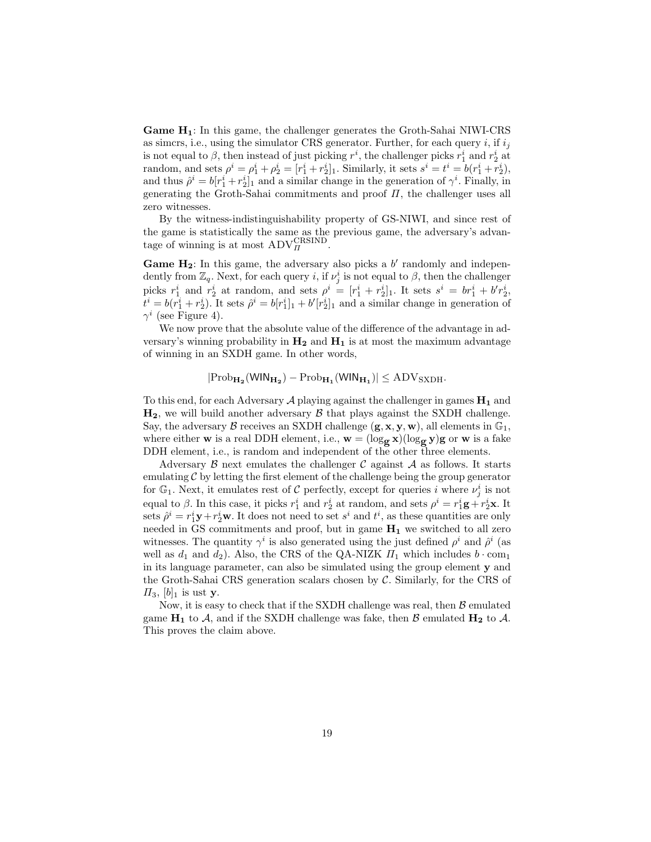Game H1: In this game, the challenger generates the Groth-Sahai NIWI-CRS as simcrs, i.e., using the simulator CRS generator. Further, for each query i, if  $i_j$ is not equal to  $\beta$ , then instead of just picking  $r^i$ , the challenger picks  $r_1^i$  and  $r_2^i$  at random, and sets  $\rho^i = \rho_1^i + \rho_2^i = [r_1^i + r_2^i]_1$ . Similarly, it sets  $s^i = t^i = b(r_1^i + r_2^i)$ , and thus  $\hat{\rho}^i = b[r_1^i + r_2^i]_1$  and a similar change in the generation of  $\gamma^i$ . Finally, in generating the Groth-Sahai commitments and proof  $\Pi$ , the challenger uses all zero witnesses.

By the witness-indistinguishability property of GS-NIWI, and since rest of the game is statistically the same as the previous game, the adversary's advanthe gaine is statistically the same as the tage of winning is at most  $\text{ADV}_H^{\text{CRSIND}}$ .

Game  $H_2$ : In this game, the adversary also picks a b' randomly and independently from  $\mathbb{Z}_q$ . Next, for each query *i*, if  $\nu_j^i$  is not equal to  $\beta$ , then the challenger picks  $r_1^i$  and  $r_2^i$  at random, and sets  $\rho^i = [r_1^i + r_2^i]_1$ . It sets  $s^i = br_1^i + b'r_2^i$ ,  $t^i = b(r_1^i + r_2^i)$ . It sets  $\hat{\rho}^i = b[r_1^i]_1 + b'[r_2^i]_1$  and a similar change in generation of  $\gamma^i$  (see Figure 4).

We now prove that the absolute value of the difference of the advantage in adversary's winning probability in  $H_2$  and  $H_1$  is at most the maximum advantage of winning in an SXDH game. In other words,

$$
|\mathrm{Prob}_{\mathbf{H_2}}(\mathsf{WIN}_{\mathbf{H_2}}) - \mathrm{Prob}_{\mathbf{H_1}}(\mathsf{WIN}_{\mathbf{H_1}})| \le \mathrm{ADV}_{\mathrm{SXDH}}.
$$

To this end, for each Adversary A playing against the challenger in games  $H_1$  and  $H_2$ , we will build another adversary  $\beta$  that plays against the SXDH challenge. Say, the adversary  $\beta$  receives an SXDH challenge  $(g, x, y, w)$ , all elements in  $\mathbb{G}_1$ , where either **w** is a real DDH element, i.e.,  $\mathbf{w} = (\log_{g} x)(\log_{g} y)g$  or **w** is a fake DDH element, i.e., is random and independent of the other three elements.

Adversary  $\beta$  next emulates the challenger  $\beta$  against  $\mathcal A$  as follows. It starts emulating  $\mathcal C$  by letting the first element of the challenge being the group generator for  $\mathbb{G}_1$ . Next, it emulates rest of C perfectly, except for queries i where  $\nu_j^i$  is not equal to  $\beta$ . In this case, it picks  $r_1^i$  and  $r_2^i$  at random, and sets  $\rho^i = r_1^i \mathbf{g} + r_2^i \mathbf{x}$ . It sets  $\hat{\rho}^i = r_1^i \mathbf{y} + r_2^i \mathbf{w}$ . It does not need to set  $s^i$  and  $t^i$ , as these quantities are only needed in GS commitments and proof, but in game  $H_1$  we switched to all zero witnesses. The quantity  $\gamma^i$  is also generated using the just defined  $\rho^i$  and  $\hat{\rho}^i$  (as well as  $d_1$  and  $d_2$ ). Also, the CRS of the QA-NIZK  $\Pi_1$  which includes  $b \cdot \text{com}_1$ in its language parameter, can also be simulated using the group element y and the Groth-Sahai CRS generation scalars chosen by  $\mathcal{C}$ . Similarly, for the CRS of  $\Pi_3$ ,  $[b]_1$  is ust y.

Now, it is easy to check that if the SXDH challenge was real, then  $\beta$  emulated game  $H_1$  to A, and if the SXDH challenge was fake, then B emulated  $H_2$  to A. This proves the claim above.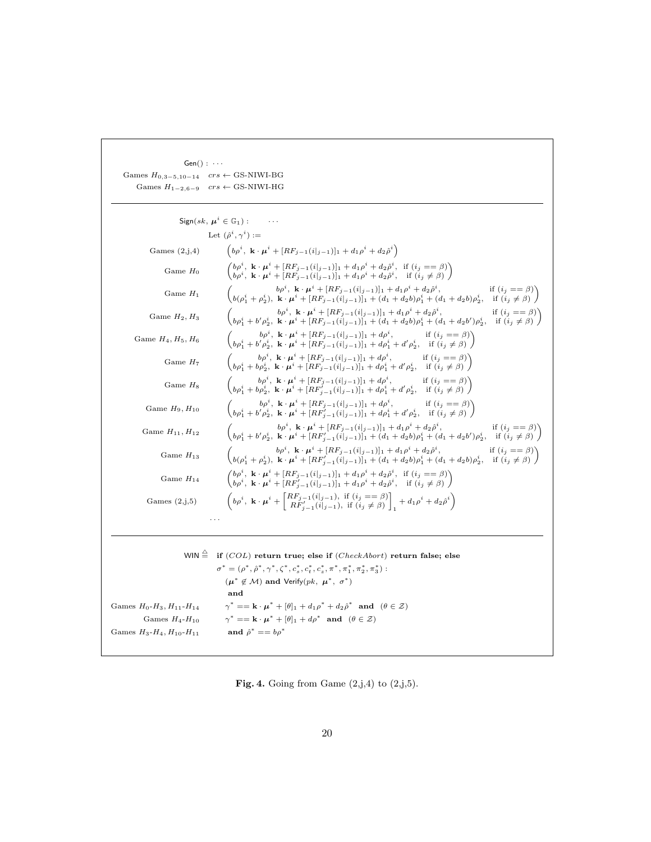| $Gen() : \cdots$                                    |                                                                                                                                                                                                                                                                                                                                 |
|-----------------------------------------------------|---------------------------------------------------------------------------------------------------------------------------------------------------------------------------------------------------------------------------------------------------------------------------------------------------------------------------------|
| Games $H_{0,3-5,10-14}$ $crs \leftarrow$ GS-NIWI-BG |                                                                                                                                                                                                                                                                                                                                 |
|                                                     | Games $H_{1-2,6-9}$ $crs \leftarrow$ GS-NIWI-HG                                                                                                                                                                                                                                                                                 |
|                                                     | Sign(sk, $\mu^i \in \mathbb{G}_1$ ):                                                                                                                                                                                                                                                                                            |
|                                                     |                                                                                                                                                                                                                                                                                                                                 |
|                                                     | Let $(\hat{\rho}^i, \gamma^i) :=$                                                                                                                                                                                                                                                                                               |
| Games $(2,j,4)$                                     | $\left(b\rho^i, \ \mathbf{k}\cdot\boldsymbol{\mu}^i + [RF_{j-1}(i _{j-1})]_1 + d_1\rho^i + d_2\hat{\rho}^i\right)$                                                                                                                                                                                                              |
| Game $H_0$                                          | $\begin{pmatrix} b\rho^i, \ \ \mathbf{k}\cdot\pmb{\mu}^i + [RF_{j-1}(i _{j-1})]_1 + d_1\rho^i + d_2\hat{\rho}^i, & \text{if}\ (i_j == \beta) \\ b\rho^i, \ \ \mathbf{k}\cdot\pmb{\mu}^i + [RF_{j-1}(i _{j-1})]_1 + d_1\rho^i + d_2\hat{\rho}^i, & \text{if}\ (i_j \neq \beta) \end{pmatrix}$                                    |
| Game $H_1$                                          | $\begin{pmatrix} b\rho^i, \ \mathbf{k}\cdot\boldsymbol{\mu}^i + [RF_{j-1}(i _{j-1})]_1 + d_1\rho^i + d_2\rho^i, & \text{if } (i_j == \beta) \\ b(\rho_1^i + \rho_2^i), \ \mathbf{k}\cdot\boldsymbol{\mu}^i + [RF_{j-1}(i _{j-1})]_1 + (d_1 + d_2b)\rho_1^i + (d_1 + d_2b)\rho_2^i, & \text{if } (i_j \neq \beta) \end{pmatrix}$ |
| Game $H_2, H_3$                                     | $\begin{pmatrix} b\rho^i,\ \mathbf{k}\cdot\pmb{\mu}^i+[RF_{j-1}(i _{j-1})]_1+d_1\rho^i+d_2\hat{\rho}^i, & \text{if}\ (i_j==\beta)\\ b\rho^i_1+b'\rho^i_2,\ \mathbf{k}\cdot\pmb{\mu}^i+[RF_{j-1}(i _{j-1})]_1+(d_1+d_2b)\rho^i_1+(d_1+d_2b')\rho^i_2, & \text{if}\ (i_j\neq\beta) \end{pmatrix}$                                 |
| Game $H_4, H_5, H_6$                                | $\begin{pmatrix} b\rho^i, & k\cdot\mu^i + [RF_{j-1}(i _{j-1})]_1 + d\rho^i, & \text{if } (i_j == \beta) \\ b\rho^i_1 + b'\rho^i_2, & k\cdot\mu^i + [RF_{j-1}(i _{j-1})]_1 + d\rho^i_1 + d'\rho^i_2, & \text{if } (i_j \neq \beta) \end{pmatrix}$                                                                                |
| Game $H_7$                                          | $\begin{pmatrix} b\rho^i\,,\;\mathbf{k}\cdot\pmb{\mu}^i + [RF_{j-1}(i _{j-1})]_1 + d\rho^i\,, & \text{if}\;(i_j == \beta)\\ b\rho^i_1 + b\rho^i_2\,,\;\mathbf{k}\cdot\pmb{\mu}^i + [RF_{j-1}(i _{j-1})]_1 + d\rho^i_1 + d'\rho^i_2\,, & \text{if}\;(i_j \neq \beta) \end{pmatrix}$                                              |
| Game $H_8$                                          | $\begin{pmatrix} b\rho^i, \ \mathbf{k}\cdot\boldsymbol{\mu}^i + [RF_{j-1}(i _{j-1})]_1 + d\rho^i, & \text{if } (i_j == \beta) \\ b\rho^i_1 + b\rho^i_2, \ \mathbf{k}\cdot\boldsymbol{\mu}^i + [RF'_{j-1}(i _{j-1})]_1 + d\rho^i_1 + d'\rho^i_2, & \text{if } (i_j \neq \beta) \end{pmatrix}$                                    |
| Game $H_9$ , $H_{10}$                               | $\begin{pmatrix} b\rho^i, & k \cdot \mu^i + [RF_{j-1}(i _{j-1})]_1 + d\rho^i, & \text{if } (i_j == \beta) \\ b\rho^i_1 + b'\rho^i_2, & k \cdot \mu^i + [RF'_{i-1}(i _{j-1})]_1 + d\rho^i_1 + d'\rho^i_2, & \text{if } (i_j \neq \beta) \end{pmatrix}$                                                                           |
| Game $H_{11}$ , $H_{12}$                            | $\begin{pmatrix} b\rho^i,\ \mathbf{k}\cdot\boldsymbol{\mu}^i+[RF_{j-1}(i _{j-1})]_1+d_1\rho^i+d_2\rho^i, & \text{if}\ (i_j==\beta)\\ b\rho^i_1+b'\rho^i_2,\ \mathbf{k}\cdot\boldsymbol{\mu}^i+[RF'_{j-1}(i _{j-1})]_1+(d_1+d_2b)\rho^i_1+(d_1+d_2b')\rho^i_2, & \text{if}\ (i_j\neq\beta) \end{pmatrix}$                        |
| Game $H_{13}$                                       | $\begin{pmatrix} b\rho^i,\ \mathbf{k}\cdot\pmb{\mu}^i+[RF_{j-1}(i _{j-1})]_1+d_1\rho^i+d_2\rho^i, & \text{if}\ (i_j==\beta)\\ b(\rho^i_1+\rho^i_2),\ \mathbf{k}\cdot\pmb{\mu}^i+[RF_{j-1}'(i _{j-1})]_1+(d_1+d_2b)\rho^i_1+(d_1+d_2b)\rho^i_2, & \text{if}\ (i_j\neq\beta) \end{pmatrix}$                                       |
| Game $H_{14}$                                       | $\begin{pmatrix} b\rho^i \,,\; \mathbf{k}\cdot\pmb{\mu}^i + [RF_{j-1}(i _{j-1})]_1 + d_1\rho^i + d_2\rho^i\,, & \text{if}\ (i_j == \beta) \\ b\rho^i \,,\; \mathbf{k}\cdot\pmb{\mu}^i + [RF_{j-1}'(i _{j-1})]_1 + d_1\rho^i + d_2\rho^i\,, & \text{if}\ (i_j \neq \beta) \end{pmatrix}$                                         |
| Games $(2,j,5)$                                     | $\left(b\rho^i, \ \mathbf{k}\cdot\mu^i + \begin{bmatrix} RF_{j-1}(i _{j-1}), \ \text{if } (i_j == \beta) \\ RF_{j-1}'(i _{j-1}), \ \text{if } (i_j \neq \beta) \end{bmatrix}, +d_1\rho^i + d_2\rho^i\right)$                                                                                                                    |
|                                                     |                                                                                                                                                                                                                                                                                                                                 |
|                                                     | WIN $\triangleq$ if (COL) return true; else if (CheckAbort) return false; else                                                                                                                                                                                                                                                  |
|                                                     | $\sigma^* = (\rho^*, \hat{\rho}^*, \gamma^*, \zeta^*, c_s^*, c_t^*, c_z^*, \pi^*, \pi_1^*, \pi_2^*, \pi_3^*)$ :                                                                                                                                                                                                                 |
|                                                     | $(\mu^* \notin \mathcal{M})$ and Verify $(pk, \mu^*, \sigma^*)$                                                                                                                                                                                                                                                                 |
|                                                     | and                                                                                                                                                                                                                                                                                                                             |
| Games $H_0$ - $H_3$ , $H_{11}$ - $H_{14}$           | $\gamma^* = \mathbf{k} \cdot \boldsymbol{\mu}^* + [\theta]_1 + d_1 \rho^* + d_2 \hat{\rho}^*$ and $(\theta \in \mathcal{Z})$                                                                                                                                                                                                    |
| Games $H_4$ - $H_{10}$                              | $\gamma^* = \mathbf{k} \cdot \boldsymbol{\mu}^* + [\theta]_1 + d\rho^*$ and $(\theta \in \mathcal{Z})$                                                                                                                                                                                                                          |
| Games $H_3$ - $H_4$ , $H_{10}$ - $H_{11}$           | and $\hat{\rho}^* == b \rho^*$                                                                                                                                                                                                                                                                                                  |
|                                                     |                                                                                                                                                                                                                                                                                                                                 |

Fig. 4. Going from Game  $(2,j,4)$  to  $(2,j,5)$ .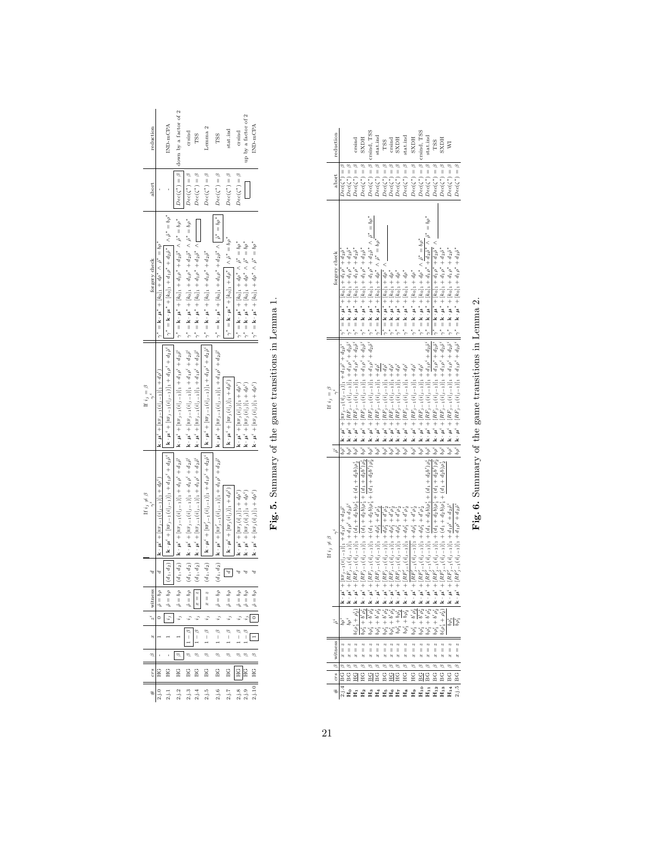| reduction           |                                                                                                    | IND-mCPA                                                                                                                                                                                                                                                              | $Dec(\zeta^*) = \beta \mid \mid$ down by a factor of 2                                                                                                                                                             | crsind                                                                                                                                                                                                                                                                                                                                                                       | TSS                                                                                                                                                                                                                                                                                                                                                                                                                                                   | Jemma 2                                                                                                                                                                                                                             | TSS                                                                                                                                                                                                                                                                                                                                                                                                          | stat.ind                                                                                                                                                                                                                                                                                                                                                                              | up by a factor of 2<br>crsind                                                                                                                                                          | IND-mCPA                                                                                                      |
|---------------------|----------------------------------------------------------------------------------------------------|-----------------------------------------------------------------------------------------------------------------------------------------------------------------------------------------------------------------------------------------------------------------------|--------------------------------------------------------------------------------------------------------------------------------------------------------------------------------------------------------------------|------------------------------------------------------------------------------------------------------------------------------------------------------------------------------------------------------------------------------------------------------------------------------------------------------------------------------------------------------------------------------|-------------------------------------------------------------------------------------------------------------------------------------------------------------------------------------------------------------------------------------------------------------------------------------------------------------------------------------------------------------------------------------------------------------------------------------------------------|-------------------------------------------------------------------------------------------------------------------------------------------------------------------------------------------------------------------------------------|--------------------------------------------------------------------------------------------------------------------------------------------------------------------------------------------------------------------------------------------------------------------------------------------------------------------------------------------------------------------------------------------------------------|---------------------------------------------------------------------------------------------------------------------------------------------------------------------------------------------------------------------------------------------------------------------------------------------------------------------------------------------------------------------------------------|----------------------------------------------------------------------------------------------------------------------------------------------------------------------------------------|---------------------------------------------------------------------------------------------------------------|
| abort               |                                                                                                    |                                                                                                                                                                                                                                                                       |                                                                                                                                                                                                                    | $Dec(\zeta^*) = \beta$                                                                                                                                                                                                                                                                                                                                                       | $Dec(\zeta^*) = \beta$                                                                                                                                                                                                                                                                                                                                                                                                                                | $Dec(\zeta^*) = \beta$                                                                                                                                                                                                              | $Dec(\zeta^*) = \beta$                                                                                                                                                                                                                                                                                                                                                                                       | $Dec(\zeta^*) = \beta$                                                                                                                                                                                                                                                                                                                                                                | $Dec(\zeta^*) = \beta$                                                                                                                                                                 |                                                                                                               |
| forgery check       | $\gamma^* = \mathbf{k} \cdot \boldsymbol{\mu}^* + [k_0]_1 + d\rho^* \wedge \hat{\rho}^* = b\rho^*$ | $   \gamma^* = {\bf k} \cdot {\boldsymbol \mu}^* + [k_0]_1 + d_1 \rho^* + d_2 \rho^*    \wedge \hat{\rho}^* = b \rho^*$                                                                                                                                               | $\Vert \gamma^* = \mathbf{k} \cdot \boldsymbol{\mu}^* + [k_0]_1 + d_1 \rho^* + d_2 \tilde{\rho}^* \ \wedge \ \tilde{\rho}^* = b \rho^*$                                                                            | $(d_{1},d_{2})\ \ \Big \ \mathbf{k}\cdot\mathbf{\mu}^{i}+[\mathfrak{m}_{j-1}(i _{j-1})]+d_{1}\rho^{i}+d_{2}\rho^{i}\ \ \Big \ \mathbf{k}\cdot\mathbf{\mu}^{i}+[\mathfrak{m}_{j-1}(i _{j-1})]_{1}+d_{1}\rho^{i}+d_{2}\rho^{i}\ \ \Big \ \ \gamma^{*}=\mathbf{k}\cdot\mathbf{\mu}^{*}+[\mathbf{k}_{0}]_{1}+d_{1}\rho^{*}+d_{2}\rho^{*}\ \wedge\ \rho^{*}=\mathfrak{h}\rho^{*}$ | $(d_{1},d_{2})\ \ \Big \ \mathbf{k}\cdot\boldsymbol{\mu}^{i} + [\mathrm{Re}\,j_{-1}(\dot{\imath} _{j-1})]_{1} + d_{1}\rho^{i} + d_{2}\bar{\rho}^{i} \ \ \Big \ \mathbf{k}\cdot\boldsymbol{\mu}^{i} + [\mathrm{Re}\,j_{j-1}(\dot{\imath} _{j-1})]_{1} + d_{1}\rho^{i} + d_{2}\bar{\rho}^{i} \ \ \Big \ \gamma^{*} = \mathbf{k}\cdot\boldsymbol{\mu}^{*} + [k_{0}]_{1} + d_{1}\rho^{*} + d_{2}\bar{\rho}^{*} \wedge \textcolor{black}{\bigcap_{i=1}^{n$ |                                                                                                                                                                                                                                     | $(d_1,d_2) \quad \Big  \ \mathbf{k} \cdot \boldsymbol{\mu}^* + [\text{ns}_{2-1}'(i_{2-1})]_1 + d_1 \rho^* + d_2 \tilde{\rho}^* \quad \Big  \ \mathbf{k} \cdot \boldsymbol{\mu}^* + [\text{ns}_{2-1}(i_{2-1})]_1 + d_1 \rho^* + d_2 \tilde{\rho}^* \Big  \ \Big  \ \gamma^* = \mathbf{k} \cdot \boldsymbol{\mu}^* + [k_0]_1 + d_1 \rho^* + d_2 \tilde{\rho}^* \wedge \Big  \ \tilde{\rho}^* = b \rho^* \Big $ | $\gamma^* = \mathbf{k} \cdot \boldsymbol{\mu}^* + [k_0]_1 + d\rho^* \mid \wedge \hat{\rho}^* = b\rho^*$                                                                                                                                                                                                                                                                               | $\gamma^* = \mathbf{k} \cdot \boldsymbol{\mu}^* + [k_0]_1 + d\rho^* \wedge \hat{\rho}^* = b\rho^*$<br>$\gamma^* = \mathbf{k} \cdot \mu^* + [k_0]_1 + d\rho^* \wedge \beta^* = b\rho^*$ | $\gamma^* = \mathbf{k} \cdot \boldsymbol{\mu}^* + [\mathbf{k}_0]_1 + d\rho^* \wedge \tilde{\rho}^* = b\rho^*$ |
| If $i_j = \beta$    | $\mathbf{k} \cdot \mathbf{\mu}^* + [\texttt{RF}_{j-1}(i _{j-1})]_1 + d\rho^*$                      |                                                                                                                                                                                                                                                                       |                                                                                                                                                                                                                    |                                                                                                                                                                                                                                                                                                                                                                              |                                                                                                                                                                                                                                                                                                                                                                                                                                                       |                                                                                                                                                                                                                                     |                                                                                                                                                                                                                                                                                                                                                                                                              | $\mathbf{k} \cdot \boldsymbol{\mu}^* + [\text{RF}_j(i _j)]_1 + d\rho^*$                                                                                                                                                                                                                                                                                                               | $\mathbf{k} \cdot \boldsymbol{\mu}^* + [\texttt{RF}_j(i _j)]_1 + d\rho^*$<br>$\mathbf{k} \cdot \boldsymbol{\mu}^* + [\text{RF}_i(i _i)]_1 + d\rho^i)$                                  | <b>k</b> $\cdot \mu^i + [\text{RF}_i(i _i)]_1 + d\rho^i)$                                                     |
| If $i_j \neq \beta$ | $\mathbf{k} \cdot \mathbf{\mu}^* + [\text{RF}_{\beta-1}(i _{\beta-1})]_1 + d\rho^*$                | $(d_1, d_2) \prod   \mathbf{k} \cdot \boldsymbol{\mu}^i + [\text{RF}_{j-1}(i _{j-1})]_1 + d_1 \rho^i + d_2 \delta^i \prod   \mathbf{k} \cdot \boldsymbol{\mu}^i + [\text{RF}_{j-1}(i _{j-1})]_1 + d_1 \rho^i + d_2 \delta^i \prod   \mathbf{k}^i + \delta^i \delta^i$ | $(d_1, d_2)$   <b>k</b> · $\mu^i$ + [ng <sub>3</sub> -1( $i _{j-1}$ ]] <sub>1</sub> + $d_1\rho^i$ + $d_2\rho^i$   <b>k</b> · $\mu^i$ + [ng <sub>3</sub> -1( $i _{j-1}$ )] <sub>1</sub> + $d_1\rho^i$ + $d_2\rho^i$ |                                                                                                                                                                                                                                                                                                                                                                              |                                                                                                                                                                                                                                                                                                                                                                                                                                                       | $(d_1, d_2)$    k · $\mu^i + [\text{ns}'_{i-1}(i _{j-1})]_1 + d_1 \rho^i + d_2 \rho^i$       k · $\mu^i + [\text{ns}'_{j-1}(i _{j-1})]_1 + d_1 \rho^i + d_2 \rho^i$    $\gamma^* =$ k · $\mu^* + [k_0]_1 + d_1 \rho^* + d_2 \rho^*$ |                                                                                                                                                                                                                                                                                                                                                                                                              | $\mathbf{k} \cdot \boldsymbol{\mu}^i + [\texttt{RF}_{j}(i _{j})]_1 + d\rho^i)$                                                                                                                                                                                                                                                                                                        | $\mathbf{k} \cdot \boldsymbol{\mu}^* + [\text{RF}_{i}(i _{i})]_1 + d\rho^*$<br>$\mathbf{k} \cdot \boldsymbol{\mu}^* + [\text{RF}_j(i _j)]_1 + d\rho^*$                                 | <b>k</b> · $\mu^i$ + [RF <sub>i</sub> (i  <sub>i</sub> )] <sub>1</sub> + d <sub>p<sup>1</sup></sub> )         |
|                     |                                                                                                    |                                                                                                                                                                                                                                                                       |                                                                                                                                                                                                                    |                                                                                                                                                                                                                                                                                                                                                                              |                                                                                                                                                                                                                                                                                                                                                                                                                                                       |                                                                                                                                                                                                                                     |                                                                                                                                                                                                                                                                                                                                                                                                              |                                                                                                                                                                                                                                                                                                                                                                                       |                                                                                                                                                                                        |                                                                                                               |
| witness             | δô<br>$\parallel$<br>ä                                                                             | $\mathsf{I}$                                                                                                                                                                                                                                                          | δo<br>$\parallel$                                                                                                                                                                                                  | òρ<br>$\parallel$<br>ô                                                                                                                                                                                                                                                                                                                                                       | 1)<br>$\mathsf{II}$<br>e                                                                                                                                                                                                                                                                                                                                                                                                                              | b)<br>$\parallel$<br>θ                                                                                                                                                                                                              | δρ<br>II                                                                                                                                                                                                                                                                                                                                                                                                     | ρó<br>$\parallel$<br>ô                                                                                                                                                                                                                                                                                                                                                                | δô<br>ï<br>$\mathsf{I}$                                                                                                                                                                | II                                                                                                            |
| 51                  |                                                                                                    | $\ddot{i}$                                                                                                                                                                                                                                                            | ę,                                                                                                                                                                                                                 | t,                                                                                                                                                                                                                                                                                                                                                                           |                                                                                                                                                                                                                                                                                                                                                                                                                                                       |                                                                                                                                                                                                                                     |                                                                                                                                                                                                                                                                                                                                                                                                              | $\ddot{i}$                                                                                                                                                                                                                                                                                                                                                                            | ŗ,<br>ŗ,                                                                                                                                                                               |                                                                                                               |
| a                   |                                                                                                    |                                                                                                                                                                                                                                                                       |                                                                                                                                                                                                                    | Q<br>$\overline{\phantom{a}}$                                                                                                                                                                                                                                                                                                                                                | ø<br>$\begin{array}{c} \hline \end{array}$                                                                                                                                                                                                                                                                                                                                                                                                            | Q<br>$\overline{a}$                                                                                                                                                                                                                 | Q<br>Ì                                                                                                                                                                                                                                                                                                                                                                                                       | Q<br>$\begin{array}{c} \rule{0pt}{2.5ex} \rule{0pt}{2.5ex} \rule{0pt}{2.5ex} \rule{0pt}{2.5ex} \rule{0pt}{2.5ex} \rule{0pt}{2.5ex} \rule{0pt}{2.5ex} \rule{0pt}{2.5ex} \rule{0pt}{2.5ex} \rule{0pt}{2.5ex} \rule{0pt}{2.5ex} \rule{0pt}{2.5ex} \rule{0pt}{2.5ex} \rule{0pt}{2.5ex} \rule{0pt}{2.5ex} \rule{0pt}{2.5ex} \rule{0pt}{2.5ex} \rule{0pt}{2.5ex} \rule{0pt}{2.5ex} \rule{0$ | ø<br>ø<br>$\overline{1}$<br>I.                                                                                                                                                         |                                                                                                               |
| Q                   |                                                                                                    |                                                                                                                                                                                                                                                                       | $\varphi$                                                                                                                                                                                                          | Q                                                                                                                                                                                                                                                                                                                                                                            | Ó                                                                                                                                                                                                                                                                                                                                                                                                                                                     | Ó                                                                                                                                                                                                                                   | Q                                                                                                                                                                                                                                                                                                                                                                                                            | Q                                                                                                                                                                                                                                                                                                                                                                                     | Ó<br>Ó                                                                                                                                                                                 | Ó                                                                                                             |
| cr <sub>8</sub>     | U<br>⊞                                                                                             | HG                                                                                                                                                                                                                                                                    | HG                                                                                                                                                                                                                 | SG                                                                                                                                                                                                                                                                                                                                                                           | SC                                                                                                                                                                                                                                                                                                                                                                                                                                                    | BG                                                                                                                                                                                                                                  | C<br>BC                                                                                                                                                                                                                                                                                                                                                                                                      | C)<br>Di                                                                                                                                                                                                                                                                                                                                                                              | ů<br>EG                                                                                                                                                                                | <b>HC</b>                                                                                                     |
| #                   |                                                                                                    |                                                                                                                                                                                                                                                                       | 2.1.2                                                                                                                                                                                                              | 2.1.3                                                                                                                                                                                                                                                                                                                                                                        | 2.1.4                                                                                                                                                                                                                                                                                                                                                                                                                                                 | 2.1.5                                                                                                                                                                                                                               | 2.1.6                                                                                                                                                                                                                                                                                                                                                                                                        | 2.1.7                                                                                                                                                                                                                                                                                                                                                                                 | 2.1.8                                                                                                                                                                                  | 2.1.10                                                                                                        |

 $\mathbf{Fig.}$  5. Summary of the game transitions in Lemma 1. Fig. 5. Summary of the game transitions in Lemma 1.

| reduction           |                                                                                                                                                                                                                                                                                                                                                                                                                                                                                        |                                                                                                  | crsind                                                                                                                               | HUXS                                                                                                                                                                                                                                                                                                                                                                                                                                            | crsind, TSS                                                                                                                                                                                                                                                                                                           | stat.ind                                                                                                                                                                              |                                                                     | crsind                                                                                                                                                                                                                                                                                                   | HUXS                                                      | stat.ind                                                                        | <b>HGXS</b>                                                                                                                                               | $Dec(\zeta^*) = \beta$ crsind, TSS                                                                                                                                                                                                                                                                                                                           | stat.ind                         | <b>PSS</b>                 | HUXS                                                                                                                                                                                                                                                                                                                                                                                                                  |                                                                                                                                                                                                            |                                                                                                                                          |
|---------------------|----------------------------------------------------------------------------------------------------------------------------------------------------------------------------------------------------------------------------------------------------------------------------------------------------------------------------------------------------------------------------------------------------------------------------------------------------------------------------------------|--------------------------------------------------------------------------------------------------|--------------------------------------------------------------------------------------------------------------------------------------|-------------------------------------------------------------------------------------------------------------------------------------------------------------------------------------------------------------------------------------------------------------------------------------------------------------------------------------------------------------------------------------------------------------------------------------------------|-----------------------------------------------------------------------------------------------------------------------------------------------------------------------------------------------------------------------------------------------------------------------------------------------------------------------|---------------------------------------------------------------------------------------------------------------------------------------------------------------------------------------|---------------------------------------------------------------------|----------------------------------------------------------------------------------------------------------------------------------------------------------------------------------------------------------------------------------------------------------------------------------------------------------|-----------------------------------------------------------|---------------------------------------------------------------------------------|-----------------------------------------------------------------------------------------------------------------------------------------------------------|--------------------------------------------------------------------------------------------------------------------------------------------------------------------------------------------------------------------------------------------------------------------------------------------------------------------------------------------------------------|----------------------------------|----------------------------|-----------------------------------------------------------------------------------------------------------------------------------------------------------------------------------------------------------------------------------------------------------------------------------------------------------------------------------------------------------------------------------------------------------------------|------------------------------------------------------------------------------------------------------------------------------------------------------------------------------------------------------------|------------------------------------------------------------------------------------------------------------------------------------------|
| abort               | $Dec(\zeta^*) = 1$                                                                                                                                                                                                                                                                                                                                                                                                                                                                     | $Dec(\zeta^*) = \beta$                                                                           | $Dec(\zeta^*) = \beta$                                                                                                               | $\operatorname{pec}(\zeta^*) =$                                                                                                                                                                                                                                                                                                                                                                                                                 | $\operatorname{Jec}(\zeta^*)=\beta$ !                                                                                                                                                                                                                                                                                 | $Dec(\zeta^*) = \beta$                                                                                                                                                                | $Dec(\zeta^*) = \beta$                                              | $Dec(\zeta^*) = \beta$                                                                                                                                                                                                                                                                                   | $Dec(\zeta^*) = \beta$                                    | $Dec(\zeta^*) = \beta$                                                          | $\operatorname{Dec}(\zeta^*)=\beta$                                                                                                                       |                                                                                                                                                                                                                                                                                                                                                              | $\mathsf{Dec}(\zeta^*)=\beta$    | $Dec(\zeta^*) =$           | $\operatorname{Dec}(\zeta^*) =$                                                                                                                                                                                                                                                                                                                                                                                       | $Dec(\zeta^*) =$                                                                                                                                                                                           | $Dec(\zeta^*) =$                                                                                                                         |
| orgery check        |                                                                                                                                                                                                                                                                                                                                                                                                                                                                                        |                                                                                                  |                                                                                                                                      |                                                                                                                                                                                                                                                                                                                                                                                                                                                 |                                                                                                                                                                                                                                                                                                                       | $\gamma^* = \mathbf{k} \cdot \boldsymbol{\mu}^* + [k_0]_1 + d\rho^* \wedge \hat{\rho}^* = b\rho^*$                                                                                    | $\gamma^* = k \cdot \mu^* + [k_0]_1 + d\rho^* \wedge$               | $\gamma^* = k \cdot \mu^* + [k_0]_1 + d\rho^*$                                                                                                                                                                                                                                                           | $\gamma^* = k \cdot \mu^* + [k_0]_1 + d\rho^*$            | $\gamma^* = k \cdot \mu^* + [k_0]_1 + d\rho^*$                                  | $\gamma^* = k \cdot \mu^* + [k_0]_1 + d\rho^*$                                                                                                            |                                                                                                                                                                                                                                                                                                                                                              |                                  |                            |                                                                                                                                                                                                                                                                                                                                                                                                                       |                                                                                                                                                                                                            |                                                                                                                                          |
| If $i_j = \beta$    | $\begin{array}{l} \left\  \rho_{f} \right\  \left\  \mathbf{k} \cdot \boldsymbol{\mu} \right\  + \left\  \mathbf{E} \mathbf{y} - \lambda \left( \left[ \mathbf{j}_{-1} \right] \right) \right\  + d_{1} \rho^{2} + d_{0} \tilde{\rho}^{2} \\ \left\  \mathbf{y} \right\ ^{2} = \mathbf{k} \cdot \boldsymbol{\mu}^{2} + \left\  \mathbf{k} \right\ _{2} + d_{1} \rho^{2} \\ \left\  \mathbf{k} \right\  \left\  \mathbf{k} \cdot \boldsymbol{\mu}^{2} + \left[ \left( \mathbf{E} \math$ |                                                                                                  |                                                                                                                                      |                                                                                                                                                                                                                                                                                                                                                                                                                                                 |                                                                                                                                                                                                                                                                                                                       | $b \rho^i   \mathbf{k} \cdot \boldsymbol{\mu}^i + [RF_{j-1}(i _{j-1})]_1 + d \rho^i$                                                                                                  | <b>k</b> · $\mu^3$ + $[RF_{j-1}(i _{j-1})]_1 + d\rho^3$             | $\mathbf{k} \cdot \boldsymbol{\mu}^* + [RF_{j-1}(i _{j-1})]_1 + d\rho^*$                                                                                                                                                                                                                                 | <b>k</b> $\cdot \mu^* + [RF_{j-1}(i _{j-1})]_1 + d\rho^*$ | <b>k</b> $\cdot \mu^i + [RF_{j-1}(i _{j-1})]_1 + d\rho^i$                       | <b>k</b> $\cdot \mu^i$ + $[RF_{j-1}(i _{j-1})]_1 + d\rho^i$                                                                                               |                                                                                                                                                                                                                                                                                                                                                              |                                  |                            |                                                                                                                                                                                                                                                                                                                                                                                                                       | $b\rho^i$   <b>k</b> · $\mu^i$ + [RF <sub>3</sub> -1( $i$ [ <sub>3</sub> -1)] <sub>1</sub> + $d_1\rho^i$ + $d_2\rho^i$     $\gamma^*$ = <b>k</b> · $\mu^*$ + [ko] <sub>1</sub> + $d_1\rho^*$ + $d_2\rho^*$ | $b\rho^s$   k · $\mu^s + [RE_{j-1}(i _{j-1})]_1 + d_1\rho^s + d_2\delta^t$    $\gamma^* =$ k · $\mu^* + [k_0]_1 + d_1\rho^* + d_2\rho^*$ |
|                     |                                                                                                                                                                                                                                                                                                                                                                                                                                                                                        |                                                                                                  |                                                                                                                                      |                                                                                                                                                                                                                                                                                                                                                                                                                                                 |                                                                                                                                                                                                                                                                                                                       |                                                                                                                                                                                       |                                                                     |                                                                                                                                                                                                                                                                                                          |                                                           |                                                                                 |                                                                                                                                                           |                                                                                                                                                                                                                                                                                                                                                              |                                  |                            |                                                                                                                                                                                                                                                                                                                                                                                                                       |                                                                                                                                                                                                            |                                                                                                                                          |
| If $i_j \neq \beta$ | $\mathbf{c} \cdot \boldsymbol{\mu}^* + [\texttt{RF}_{j-1}(i _{j-1})]_1 + d_1 \rho^* + d_2 \tilde{\rho}^*$                                                                                                                                                                                                                                                                                                                                                                              | $\mathbf{c} \cdot \boldsymbol{\mu}^* + [RP_{j-1}(i _{j-1})]_1 + d_1 \rho^* + d_2 \tilde{\rho}^*$ | <b>k</b> · $\mu^s$ + [RF <sub>3</sub> -1( $i _{j-1}$ )] <sub>1</sub> + ( $d_1$ + $d_2b$ ) $\rho_1^s$ + ( $d_1$ + $d_2b$ ) $\rho_2^s$ | $\mathbf{k}\cdot\mu^{\prime} + [R P_{j-1}(i _{j-1})]_1 + (d_1+d_2i) \rho_1^{\prime} + (d_1+d_2i') \rho_2^{\prime} \left.\right  \mathbf{k}\cdot\mu^{\prime} + [R P_{j-1}(i _{j-1})]_1 + d_1 \rho^{\prime} + d_2 \rho^{\prime} \left.\right  \right. \\ \left.\left. \right  \gamma^* = \mathbf{k}\cdot\mu^* + [k_0]_1 + d_1 \rho^* + d_2 \rho^* \left.\right  \right. \\ \left. \left. \left. \left(\mathbf{k}\cdot\mu^* + d_1\mathbf{k}\cdot\$ | $\mathbf{k}\cdot\boldsymbol{\mu}^i + [RE_{j-1}(i _{j-1})]_1 + (d_1+d_2b_1b_1^i + (d_1+d_2b_1b_2^i \mid b\rho^i)\mid \mathbf{k}\cdot\boldsymbol{\mu}^i + [RE_{j-1}(i _{j-1})]_1 + d_1\rho^i + d_2\beta^i\mid \gamma^* = \mathbf{k}\cdot\boldsymbol{\mu}^* + [k_0]_1 + d_1\rho^* + d_2\rho^*\ \wedge\ \rho^* = b\rho^*$ | <b>k</b> $\cdot$ <b>k</b> <sup>8</sup> + [RF <sub>3</sub> -1(i  <sub>5</sub> -1)] <sub>1</sub> + d <sub>p</sub> <sup>5</sup> <sub>1</sub> + d' <sub>p</sub> <sup>5</sup> <sub>2</sub> |                                                                     | <b>k</b> · $\mu^i$ + [RP <sub>3</sub> -1( $i$ [ <sub>3</sub> -1)]1 + $d\rho_1^i$ + $d' \rho_2^i$<br><b>k</b> · $\mu^i$ + [RP <sub>3</sub> -1( $i$ [ <sub>3</sub> -1)]1 + $d\rho_1^i$ + $d' \rho_2^i$<br><b>k</b> · $\mu^i$ + [RP <sub>3</sub> -1( $i$ [ <sub>3</sub> -1)]1 + $d\rho_1^i$ + $d' \rho_2^i$ |                                                           | <b>k</b> $\cdot \mu^{i} + [RF'_{j-1}(i _{j-1})]_1 + d\rho_1^{i} + d'\rho_2^{i}$ | <b>k</b> · $\mu^i$ + [RF] <sub>2-1</sub> ( $i[j-1]$ ] <sub>1</sub> + d <sub>p</sub> <sup>1</sup> <sub>1</sub> + d' <sub>p</sub> <sup>5</sup> <sub>2</sub> | <b>k</b> · $\mu^i + [RE_{j-1}^T(\epsilon j-1)] + d\rho_1^i + d'\rho_2^i$<br><b>k</b> · $\mu^i + [RE_{j-1}^T(\epsilon j-1)] + (d_1 + d_2b')\rho_2^i$ <b>b</b> $\rho^i$ <b>k</b> · $\mu^i + [RE_{j-1}^T(\epsilon j-1)] + d_1\rho^i$ · $d\beta^i$ <b>b</b> · $\frac{1}{2}$ <b>k</b> · $\mu^i + [E_0] + \mu^i + d_1\rho^i + d_2\rho^i$ · $\Delta\beta^i = b\rho$ |                                  |                            | $\begin{array}{l} {\bf k}\cdot\mu^i+[R E_{j-1}^2(\mathbf{i}\mathbf{j}_{j-1})]+(\mathbf{d}_1+\mathbf{d}_2\mathbf{b})\rho_1^i+(\mathbf{d}_1+\mathbf{d}_2\mathbf{b})\rho_2^i\quad \vert\,\mathbf{c}\vert^i\quad {\bf k}\cdot\mu^i+[R E_{j-1}^2(\mathbf{i}\mathbf{j}_{j-1})]+(\mathbf{d}_1+\mathbf{d}_2\mathbf{b}^i\vert\,\,\gamma^*={\bf k}\cdot\mu^*+[\mathbf{d}_2]\cdot\mathbf{r}^i+\mathbf{d}_2\mathbf{b}^i\ \rho_1^$ | <b>k</b> · $\mu^i$ + [RF' <sub>1-1</sub> (i  <sub>j-1</sub> )] <sub>1</sub> + d <sub>1</sub> $\rho^i$ + d <sub>2</sub> $\hat{\rho}^i$                                                                      | $\mathbf{k} \cdot \boldsymbol{\mu}^* + [RF_{i-1}'(i _{j-1})]_1 + d_1 \rho^* + d_2 \tilde{\rho}^*$                                        |
|                     |                                                                                                                                                                                                                                                                                                                                                                                                                                                                                        |                                                                                                  | é<br>$\ddot{\phantom{0}}$<br>ä<br>3                                                                                                  | ĉ,<br>b<br>$\ddagger$<br>oφ                                                                                                                                                                                                                                                                                                                                                                                                                     | ê,<br>۵<br>$\ddag$<br>δp                                                                                                                                                                                                                                                                                              | $\rho_2^*$<br>స<br>$\ddot{}$<br>bó,                                                                                                                                                   | $\frac{1}{\rho_{2}^{1}}$<br>$\frac{1}{\rho_{2}^{2}}$<br>۵<br>$^{+}$ | ۵<br>antara<br>antara                                                                                                                                                                                                                                                                                    | $^{+}$                                                    | $\ddot{}$<br>Š                                                                  | $\rho_2^*$<br>ò<br>$^{+}$<br>$, b\rho,$                                                                                                                   | $\rho_2^*$<br>ò<br>$^{+}$<br>.<br>Po                                                                                                                                                                                                                                                                                                                         | é,<br>స<br>$^{+}$<br>$b\rho_1^t$ | ô.<br>$\overline{1}$<br>òo | ન્ફો<br>$\ddag$<br>é,<br>3                                                                                                                                                                                                                                                                                                                                                                                            |                                                                                                                                                                                                            | e e<br>S                                                                                                                                 |
| witness             | b)<br>Ш<br>a                                                                                                                                                                                                                                                                                                                                                                                                                                                                           | b)<br>II<br>B                                                                                    | W,<br>II<br>$\approx$                                                                                                                | b)<br>II<br>a                                                                                                                                                                                                                                                                                                                                                                                                                                   | 89<br>Ш<br>₩                                                                                                                                                                                                                                                                                                          | W,<br>Ш<br>$\approx$                                                                                                                                                                  | \$4<br>Ш<br>Β                                                       | W,<br>II<br>$\theta$                                                                                                                                                                                                                                                                                     | $\omega$<br>II<br>$\mathfrak{S}$                          | W,<br>Ш<br>s                                                                    | $\omega$<br>II<br>$\epsilon$                                                                                                                              | W,<br>Ш<br>8                                                                                                                                                                                                                                                                                                                                                 | b)<br>$\parallel$<br>$\theta$    | $\omega$<br>Ш<br>$\approx$ | \$4<br>Ш<br>$\omega$                                                                                                                                                                                                                                                                                                                                                                                                  | ò.<br>Ш<br>$\ddot{a}$                                                                                                                                                                                      | W,<br>Ш<br>$\boldsymbol{\hat{z}}$                                                                                                        |
| Ó<br>ø,             | 60                                                                                                                                                                                                                                                                                                                                                                                                                                                                                     | C                                                                                                | $\infty$                                                                                                                             | $\infty$                                                                                                                                                                                                                                                                                                                                                                                                                                        |                                                                                                                                                                                                                                                                                                                       | $\omega$ $\omega$                                                                                                                                                                     | ΰ                                                                   | $\varpi$ or $\varpi$                                                                                                                                                                                                                                                                                     |                                                           | ø                                                                               | ø                                                                                                                                                         | $\infty$                                                                                                                                                                                                                                                                                                                                                     | $\varpi$<br>Ċ                    |                            | $\varphi$<br>Ċ                                                                                                                                                                                                                                                                                                                                                                                                        | ⊾                                                                                                                                                                                                          | $\omega$<br>Ü                                                                                                                            |
| ā                   | Ā                                                                                                                                                                                                                                                                                                                                                                                                                                                                                      | Ā                                                                                                | 읽                                                                                                                                    | H <sub>G</sub>                                                                                                                                                                                                                                                                                                                                                                                                                                  | 읿                                                                                                                                                                                                                                                                                                                     | BG.                                                                                                                                                                                   | ň                                                                   | 읽을                                                                                                                                                                                                                                                                                                       |                                                           | HG                                                                              | ЧG                                                                                                                                                        | 읾<br>H.10                                                                                                                                                                                                                                                                                                                                                    | Ā<br>н.<br>Н                     | Ā<br>H <sub>12</sub>       | ă<br>Н.з                                                                                                                                                                                                                                                                                                                                                                                                              | ă<br>$\rm{H}_{14}$                                                                                                                                                                                         | Ā<br>2.1.5                                                                                                                               |
|                     |                                                                                                                                                                                                                                                                                                                                                                                                                                                                                        |                                                                                                  |                                                                                                                                      |                                                                                                                                                                                                                                                                                                                                                                                                                                                 | <b>मुम् मू मू मू मू मू मू</b>                                                                                                                                                                                                                                                                                         |                                                                                                                                                                                       |                                                                     |                                                                                                                                                                                                                                                                                                          |                                                           |                                                                                 | f                                                                                                                                                         |                                                                                                                                                                                                                                                                                                                                                              |                                  |                            |                                                                                                                                                                                                                                                                                                                                                                                                                       |                                                                                                                                                                                                            |                                                                                                                                          |

 $\mathbf{Fig.~6.~Summary}$  of the game transitions in Lemma 2. Fig. 6. Summary of the game transitions in Lemma 2.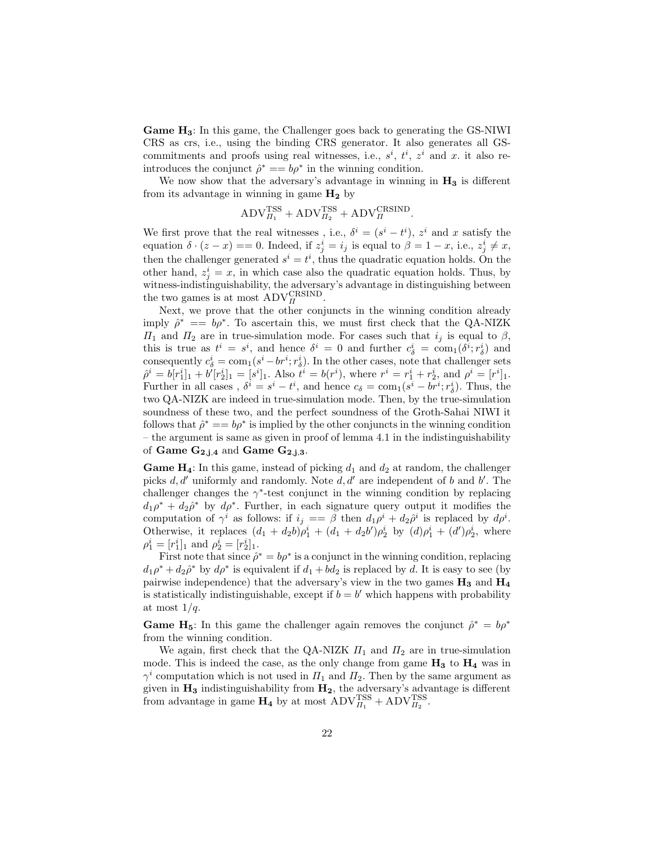Game  $H_3$ : In this game, the Challenger goes back to generating the GS-NIWI CRS as crs, i.e., using the binding CRS generator. It also generates all GScommitments and proofs using real witnesses, i.e.,  $s^i$ ,  $t^i$ ,  $z^i$  and x. it also reintroduces the conjunct  $\hat{\rho}^* == b\rho^*$  in the winning condition.

We now show that the adversary's advantage in winning in  $H_3$  is different from its advantage in winning in game  $H_2$  by

$$
ADV_{\Pi_1}^{\rm TSS} + \text{ADV}_{\Pi_2}^{\rm TSS} + \text{ADV}_{\Pi}^{\text{CRSIND}}.
$$

We first prove that the real witnesses, i.e.,  $\delta^i = (s^i - t^i)$ ,  $z^i$  and x satisfy the equation  $\delta \cdot (z - x) = 0$ . Indeed, if  $z_j^i = i_j$  is equal to  $\beta = 1 - x$ , i.e.,  $z_j^i \neq x$ , then the challenger generated  $s^i = t^i$ , thus the quadratic equation holds. On the other hand,  $z_j^i = x$ , in which case also the quadratic equation holds. Thus, by witness-indistinguishability, the adversary's advantage in distinguishing between whiless-indistinguishmometry, the adversary the two games is at most  $\text{ADV}_{\text{II}}^{\text{CRSIND}}$ .

Next, we prove that the other conjuncts in the winning condition already imply  $\hat{\rho}^* = b \rho^*$ . To ascertain this, we must first check that the QA-NIZK  $\Pi_1$  and  $\Pi_2$  are in true-simulation mode. For cases such that  $i_j$  is equal to  $\beta$ , this is true as  $t^i = s^i$ , and hence  $\delta^i = 0$  and further  $c^i_{\delta} = \text{com}_1(\delta^i; r^i_{\delta})$  and consequently  $c^i_\delta = \text{com}_1(s^i - br^i; r^i_\delta)$ . In the other cases, note that challenger sets  $\hat{\rho}^i = b[r_1^i]_1 + b'[r_2^i]_1 = [s^i]_1$ . Also  $t^i = b(r^i)$ , where  $r^i = r_1^i + r_2^i$ , and  $\rho^i = [r^i]_1$ . Further in all cases,  $\delta^i = s^i - t^i$ , and hence  $c_{\delta} = \text{com}_1(s^i - br^i; r_{\delta}^i)$ . Thus, the two QA-NIZK are indeed in true-simulation mode. Then, by the true-simulation soundness of these two, and the perfect soundness of the Groth-Sahai NIWI it follows that  $\hat{\rho}^* = b \rho^*$  is implied by the other conjuncts in the winning condition – the argument is same as given in proof of lemma 4.1 in the indistinguishability of Game  $G_{2,i,4}$  and Game  $G_{2,i,3}$ .

**Game H<sub>4</sub>**: In this game, instead of picking  $d_1$  and  $d_2$  at random, the challenger picks  $d, d'$  uniformly and randomly. Note  $d, d'$  are independent of b and b'. The challenger changes the  $\gamma^*$ -test conjunct in the winning condition by replacing  $d_1 \rho^* + d_2 \hat{\rho}^*$  by  $d\rho^*$ . Further, in each signature query output it modifies the computation of  $\gamma^i$  as follows: if  $i_j = \beta$  then  $d_1 \rho^i + d_2 \rho^i$  is replaced by  $d\rho^i$ . Otherwise, it replaces  $(d_1 + d_2b)\rho_1^i + (d_1 + d_2b')\rho_2^i$  by  $(d)\rho_1^i + (d')\rho_2^i$ , where  $\rho_1^i = [r_1^i]_1$  and  $\rho_2^i = [r_2^i]_1$ .

First note that since  $\hat{\rho}^* = b\rho^*$  is a conjunct in the winning condition, replacing  $d_1 \rho^* + d_2 \hat{\rho}^*$  by  $d\rho^*$  is equivalent if  $d_1 + bd_2$  is replaced by d. It is easy to see (by pairwise independence) that the adversary's view in the two games  $H_3$  and  $H_4$ is statistically indistinguishable, except if  $b = b'$  which happens with probability at most  $1/q$ .

**Game H<sub>5</sub>**: In this game the challenger again removes the conjunct  $\hat{\rho}^* = b\rho^*$ from the winning condition.

We again, first check that the QA-NIZK  $\Pi_1$  and  $\Pi_2$  are in true-simulation mode. This is indeed the case, as the only change from game  $H_3$  to  $H_4$  was in  $\gamma^i$  computation which is not used in  $\Pi_1$  and  $\Pi_2$ . Then by the same argument as given in  $H_3$  indistinguishability from  $H_2$ , the adversary's advantage is different from advantage in game  $H_4$  by at most  $\text{ADV}_{H_1}^{\text{TSS}} + \text{ADV}_{H_2}^{\text{TSS}}$ .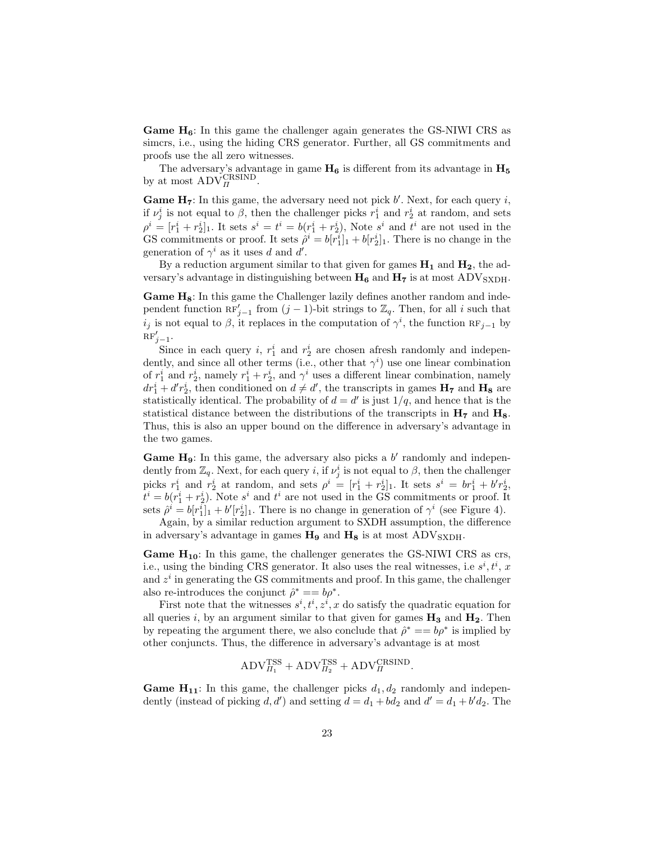**Game**  $H_6$ **:** In this game the challenger again generates the GS-NIWI CRS as simcrs, i.e., using the hiding CRS generator. Further, all GS commitments and proofs use the all zero witnesses.

The adversary's advantage in game  $H_6$  is different from its advantage in  $H_5$  by at most  $\text{ADV}_\Pi^{\text{CRSIND}}$ .

**Game H<sub>7</sub>**: In this game, the adversary need not pick  $b'$ . Next, for each query  $i$ , if  $\nu^i_j$  is not equal to  $\beta$ , then the challenger picks  $r^i_1$  and  $r^i_2$  at random, and sets  $\rho^i = [r_1^i + r_2^i]_1$ . It sets  $s^i = t^i = b(r_1^i + r_2^i)$ , Note  $s^i$  and  $t^i$  are not used in the GS commitments or proof. It sets  $\hat{\rho}^i = b[r_1^i]_1 + b[r_2^i]_1$ . There is no change in the generation of  $\gamma^i$  as it uses d and d'.

By a reduction argument similar to that given for games  $H_1$  and  $H_2$ , the adversary's advantage in distinguishing between  $H_6$  and  $H_7$  is at most ADV<sub>SXDH</sub>.

Game H<sub>8</sub>: In this game the Challenger lazily defines another random and independent function  $\mathbb{RF}'_{j-1}$  from  $(j-1)$ -bit strings to  $\mathbb{Z}_q$ . Then, for all i such that  $i_j$  is not equal to  $\beta$ , it replaces in the computation of  $\gamma^i$ , the function  $RF_{j-1}$  by  $\Pr'_{j-1}$ .

Since in each query  $i, r_1^i$  and  $r_2^i$  are chosen afresh randomly and independently, and since all other terms (i.e., other that  $\gamma^i$ ) use one linear combination of  $r_1^i$  and  $r_2^i$ , namely  $r_1^i + r_2^i$ , and  $\gamma^i$  uses a different linear combination, namely  $dr_1^i + d'r_2^i$ , then conditioned on  $d \neq d'$ , the transcripts in games  $H_7$  and  $H_8$  are statistically identical. The probability of  $d = d'$  is just  $1/q$ , and hence that is the statistical distance between the distributions of the transcripts in  $H<sub>7</sub>$  and  $H<sub>8</sub>$ . Thus, this is also an upper bound on the difference in adversary's advantage in the two games.

Game  $H_9$ : In this game, the adversary also picks a b' randomly and independently from  $\mathbb{Z}_q$ . Next, for each query *i*, if  $\nu_j^i$  is not equal to  $\beta$ , then the challenger picks  $r_1^i$  and  $r_2^i$  at random, and sets  $\rho^i = [r_1^i + r_2^i]_1$ . It sets  $s^i = br_1^i + b'r_2^i$ ,  $t^i = b(r_1^i + r_2^i)$ . Note  $s^i$  and  $t^i$  are not used in the GS commitments or proof. It sets  $\hat{\rho}^i = b[r_1^i]_1 + b'[r_2^i]_1$ . There is no change in generation of  $\gamma^i$  (see Figure 4).

Again, by a similar reduction argument to SXDH assumption, the difference in adversary's advantage in games  $H_9$  and  $H_8$  is at most  $\text{ADV}_{\text{SXDH}}$ .

**Game**  $H_{10}$ **:** In this game, the challenger generates the GS-NIWI CRS as crs, i.e., using the binding CRS generator. It also uses the real witnesses, i.e  $s^i, t^i, x$ and  $z<sup>i</sup>$  in generating the GS commitments and proof. In this game, the challenger also re-introduces the conjunct  $\hat{\rho}^* = b \rho^*$ .

First note that the witnesses  $s^i, t^i, z^i, x$  do satisfy the quadratic equation for all queries i, by an argument similar to that given for games  $H_3$  and  $H_2$ . Then by repeating the argument there, we also conclude that  $\hat{\rho}^* = b \rho^*$  is implied by other conjuncts. Thus, the difference in adversary's advantage is at most

$$
ADV_{\Pi_1}^{\rm TSS} + \text{ADV}_{\Pi_2}^{\rm TSS} + \text{ADV}_{\Pi}^{\text{CRSIND}}.
$$

**Game H<sub>11</sub>**: In this game, the challenger picks  $d_1, d_2$  randomly and independently (instead of picking  $d, d'$ ) and setting  $d = d_1 + bd_2$  and  $d' = d_1 + b'd_2$ . The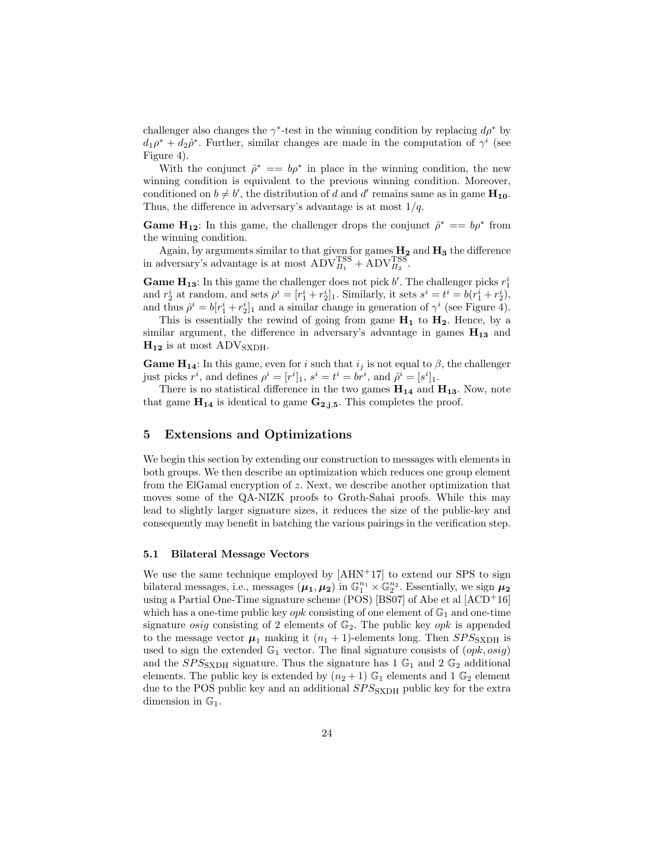challenger also changes the  $\gamma^*$ -test in the winning condition by replacing  $d\rho^*$  by  $d_1 \rho^* + d_2 \hat{\rho}^*$ . Further, similar changes are made in the computation of  $\gamma^i$  (see Figure 4).

With the conjunct  $\hat{\rho}^* = b\rho^*$  in place in the winning condition, the new winning condition is equivalent to the previous winning condition. Moreover, conditioned on  $b \neq b'$ , the distribution of d and d' remains same as in game  $\mathbf{H}_{10}$ . Thus, the difference in adversary's advantage is at most  $1/q$ .

**Game H<sub>12</sub>**: In this game, the challenger drops the conjunct  $\hat{\rho}^* = b \rho^*$  from the winning condition.

Again, by arguments similar to that given for games  $H_2$  and  $H_3$  the difference Again, by arguments similar to that given for games  $\text{TSS}$ <br>in adversary's advantage is at most  $\text{ADV}_{H_1}^{\text{TSS}} + \text{ADV}_{H_2}^{\text{TSS}}$ .

**Game H<sub>13</sub>:** In this game the challenger does not pick  $b'$ . The challenger picks  $r_1^i$ and  $r_2^i$  at random, and sets  $\rho^i = [r_1^i + r_2^i]_1$ . Similarly, it sets  $s^i = t^i = b(r_1^i + r_2^i)$ , and thus  $\hat{\rho}^i = b[r_1^i + r_2^i]_1$  and a similar change in generation of  $\gamma^i$  (see Figure 4).

This is essentially the rewind of going from game  $H_1$  to  $H_2$ . Hence, by a similar argument, the difference in adversary's advantage in games  $H_{13}$  and  $H_{12}$  is at most ADV<sub>SXDH</sub>.

**Game H<sub>14</sub>:** In this game, even for i such that  $i_j$  is not equal to  $\beta$ , the challenger just picks  $r^i$ , and defines  $\rho^i = [r^i]_1$ ,  $s^i = t^i = br^i$ , and  $\hat{\rho}^i = [s^i]_1$ .

There is no statistical difference in the two games  $H_{14}$  and  $H_{13}$ . Now, note that game  $H_{14}$  is identical to game  $G_{2,j,5}$ . This completes the proof.

### 5 Extensions and Optimizations

We begin this section by extending our construction to messages with elements in both groups. We then describe an optimization which reduces one group element from the ElGamal encryption of z. Next, we describe another optimization that moves some of the QA-NIZK proofs to Groth-Sahai proofs. While this may lead to slightly larger signature sizes, it reduces the size of the public-key and consequently may benefit in batching the various pairings in the verification step.

### 5.1 Bilateral Message Vectors

We use the same technique employed by  $[AHN^+17]$  to extend our SPS to sign bilateral messages, i.e., messages  $(\mu_1, \mu_2)$  in  $\mathbb{G}_1^{n_1} \times \mathbb{G}_2^{n_2}$ . Essentially, we sign  $\mu_2$ using a Partial One-Time signature scheme (POS) [BS07] of Abe et al  $[ACD<sup>+</sup>16]$ which has a one-time public key  $opk$  consisting of one element of  $\mathbb{G}_1$  and one-time signature *osig* consisting of 2 elements of  $\mathbb{G}_2$ . The public key *opk* is appended to the message vector  $\mu_1$  making it  $(n_1 + 1)$ -elements long. Then  $SPS_{\text{SXDH}}$  is used to sign the extended  $\mathbb{G}_1$  vector. The final signature consists of  $(\varphi p k, \varphi q)$ and the  $SPS_{\text{SXDH}}$  signature. Thus the signature has 1  $\mathbb{G}_1$  and 2  $\mathbb{G}_2$  additional elements. The public key is extended by  $(n_2+1)$   $\mathbb{G}_1$  elements and 1  $\mathbb{G}_2$  element due to the POS public key and an additional  $SPS<sub>SXDH</sub>$  public key for the extra dimension in  $\mathbb{G}_1$ .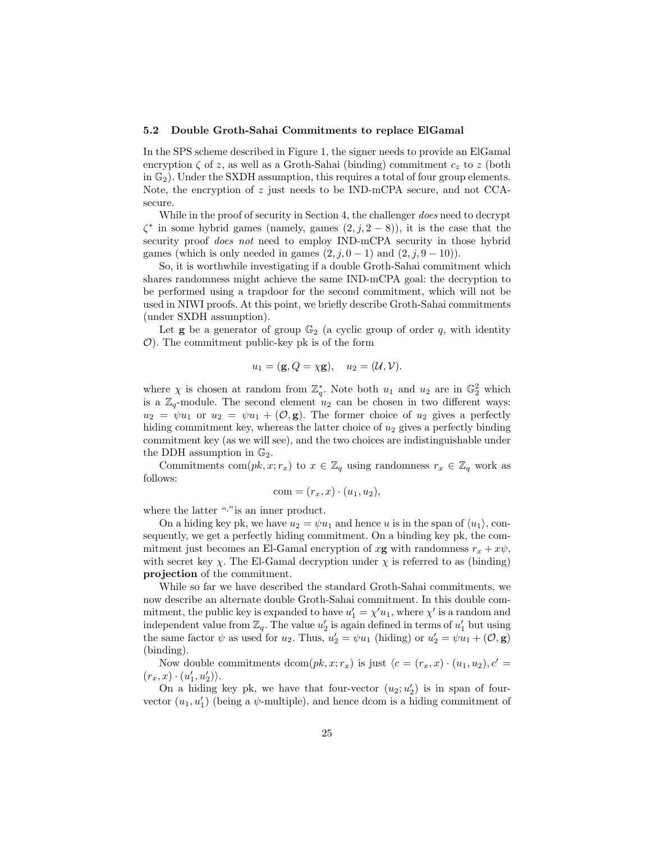#### 5.2 Double Groth-Sahai Commitments to replace ElGamal

In the SPS scheme described in Figure 1, the signer needs to provide an ElGamal encryption  $\zeta$  of z, as well as a Groth-Sahai (binding) commitment  $c_z$  to z (both in  $\mathbb{G}_2$ ). Under the SXDH assumption, this requires a total of four group elements. Note, the encryption of  $z$  just needs to be IND-mCPA secure, and not CCAsecure.

While in the proof of security in Section 4, the challenger *does* need to decrypt  $\zeta^*$  in some hybrid games (namely, games  $(2, j, 2-8)$ ), it is the case that the security proof *does not* need to employ IND-mCPA security in those hybrid games (which is only needed in games  $(2, j, 0-1)$  and  $(2, j, 9-10)$ ).

So, it is worthwhile investigating if a double Groth-Sahai commitment which shares randomness might achieve the same IND-mCPA goal: the decryption to be performed using a trapdoor for the second commitment, which will not be used in NIWI proofs. At this point, we briefly describe Groth-Sahai commitments (under SXDH assumption).

Let **g** be a generator of group  $\mathbb{G}_2$  (a cyclic group of order q, with identity  $O$ ). The commitment public-key pk is of the form

$$
u_1 = (\mathbf{g}, Q = \chi \mathbf{g}), \quad u_2 = (\mathcal{U}, \mathcal{V}).
$$

where  $\chi$  is chosen at random from  $\mathbb{Z}_q^*$ . Note both  $u_1$  and  $u_2$  are in  $\mathbb{G}_2^2$  which is a  $\mathbb{Z}_q$ -module. The second element  $u_2$  can be chosen in two different ways:  $u_2 = \psi u_1$  or  $u_2 = \psi u_1 + (\mathcal{O}, \mathbf{g})$ . The former choice of  $u_2$  gives a perfectly hiding commitment key, whereas the latter choice of  $u_2$  gives a perfectly binding commitment key (as we will see), and the two choices are indistinguishable under the DDH assumption in  $\mathbb{G}_2$ .

Commitments com $(pk, x; r_x)$  to  $x \in \mathbb{Z}_q$  using randomness  $r_x \in \mathbb{Z}_q$  work as follows:

$$
com = (r_x, x) \cdot (u_1, u_2),
$$

where the latter "." is an inner product.

On a hiding key pk, we have  $u_2 = \psi u_1$  and hence u is in the span of  $\langle u_1 \rangle$ , consequently, we get a perfectly hiding commitment. On a binding key pk, the commitment just becomes an El-Gamal encryption of  $x\mathbf{g}$  with randomness  $r_x + x\psi$ , with secret key  $\chi$ . The El-Gamal decryption under  $\chi$  is referred to as (binding) projection of the commitment.

While so far we have described the standard Groth-Sahai commitments, we now describe an alternate double Groth-Sahai commitment. In this double commitment, the public key is expanded to have  $u'_1 = \chi' u_1$ , where  $\chi'$  is a random and independent value from  $\mathbb{Z}_q$ . The value  $u'_2$  is again defined in terms of  $u'_1$  but using the same factor  $\psi$  as used for  $u_2$ . Thus,  $u'_2 = \psi u_1$  (hiding) or  $u'_2 = \psi u_1 + (\mathcal{O}, \mathbf{g})$ (binding).

Now double commitments dcom $(pk, x; r_x)$  is just  $\langle c = (r_x, x) \cdot (u_1, u_2), c' =$  $(r_x, x) \cdot (u'_1, u'_2) \rangle.$ 

On a hiding key pk, we have that four-vector  $(u_2; u_2')$  is in span of fourvector  $(u_1, u'_1)$  (being a  $\psi$ -multiple). and hence dcom is a hiding commitment of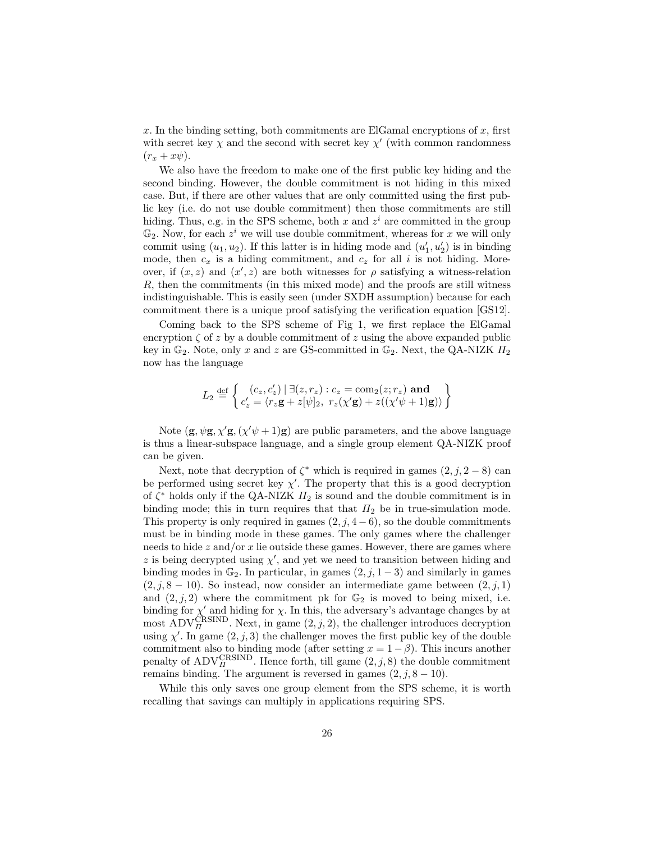x. In the binding setting, both commitments are ElGamal encryptions of  $x$ , first with secret key  $\chi$  and the second with secret key  $\chi'$  (with common randomness  $(r_x + x\psi).$ 

We also have the freedom to make one of the first public key hiding and the second binding. However, the double commitment is not hiding in this mixed case. But, if there are other values that are only committed using the first public key (i.e. do not use double commitment) then those commitments are still hiding. Thus, e.g. in the SPS scheme, both x and  $z<sup>i</sup>$  are committed in the group  $\mathbb{G}_2$ . Now, for each  $z^i$  we will use double commitment, whereas for x we will only commit using  $(u_1, u_2)$ . If this latter is in hiding mode and  $(u'_1, u'_2)$  is in binding mode, then  $c_x$  is a hiding commitment, and  $c_z$  for all i is not hiding. Moreover, if  $(x, z)$  and  $(x', z)$  are both witnesses for  $\rho$  satisfying a witness-relation R, then the commitments (in this mixed mode) and the proofs are still witness indistinguishable. This is easily seen (under SXDH assumption) because for each commitment there is a unique proof satisfying the verification equation [GS12].

Coming back to the SPS scheme of Fig 1, we first replace the ElGamal encryption  $\zeta$  of z by a double commitment of z using the above expanded public key in  $\mathbb{G}_2$ . Note, only x and z are GS-committed in  $\mathbb{G}_2$ . Next, the QA-NIZK  $\Pi_2$ now has the language

$$
L_2 \stackrel{\text{def}}{=} \left\{ \begin{matrix} (c_z, c'_z) \mid \exists (z, r_z) : c_z = \text{com}_2(z; r_z) \text{ and} \\ c'_z = \langle r_z \mathbf{g} + z[\psi]_2, \ r_z(\chi' \mathbf{g}) + z((\chi'\psi + 1)\mathbf{g}) \rangle \end{matrix} \right\}
$$

Note  $(g, \psi g, \chi' g, (\chi' \psi + 1)g)$  are public parameters, and the above language is thus a linear-subspace language, and a single group element QA-NIZK proof can be given.

Next, note that decryption of  $\zeta^*$  which is required in games  $(2, j, 2-8)$  can be performed using secret key  $\chi'$ . The property that this is a good decryption of  $\zeta^*$  holds only if the QA-NIZK  $\Pi_2$  is sound and the double commitment is in binding mode; this in turn requires that that  $\Pi_2$  be in true-simulation mode. This property is only required in games  $(2, j, 4-6)$ , so the double commitments must be in binding mode in these games. The only games where the challenger needs to hide z and/or x lie outside these games. However, there are games where z is being decrypted using  $\chi'$ , and yet we need to transition between hiding and binding modes in  $\mathbb{G}_2$ . In particular, in games  $(2, j, 1-3)$  and similarly in games  $(2, j, 8 - 10)$ . So instead, now consider an intermediate game between  $(2, j, 1)$ and  $(2, j, 2)$  where the commitment pk for  $\mathbb{G}_2$  is moved to being mixed, i.e. binding for  $\chi'$  and hiding for  $\chi$ . In this, the adversary's advantage changes by at most  $\text{ADV}_\text{II}^{\text{CRSIND}}$ . Next, in game  $(2, j, 2)$ , the challenger introduces decryption using  $\chi'$ . In game  $(2, j, 3)$  the challenger moves the first public key of the double commitment also to binding mode (after setting  $x = 1 - \beta$ ). This incurs another bommetries also to binding mode (arter setting  $x = 1 - \beta$ ). This inclus another penalty of  $ADV_R^{\text{GRSIND}}$ . Hence forth, till game  $(2, j, 8)$  the double commitment remains binding. The argument is reversed in games  $(2, j, 8 - 10)$ .

While this only saves one group element from the SPS scheme, it is worth recalling that savings can multiply in applications requiring SPS.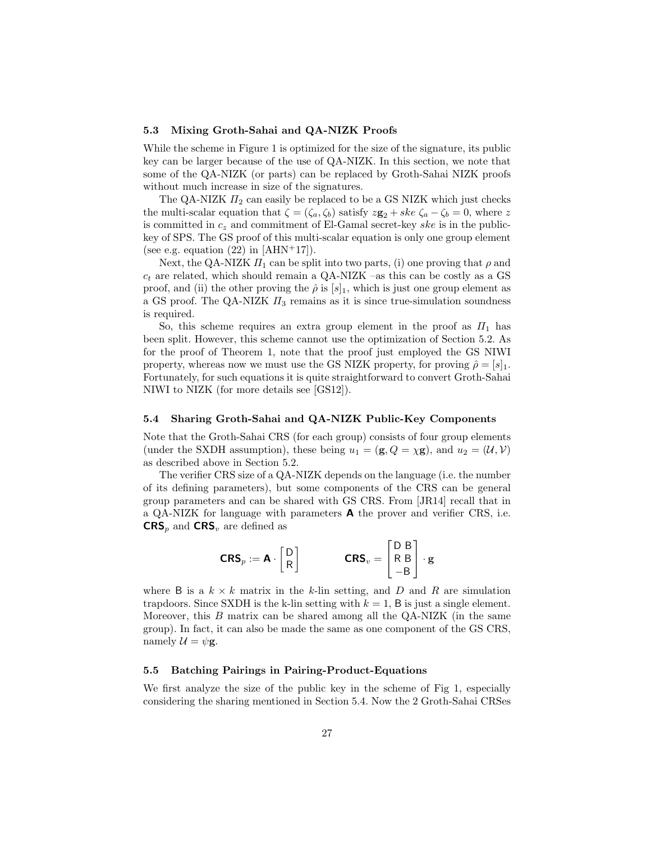### 5.3 Mixing Groth-Sahai and QA-NIZK Proofs

While the scheme in Figure 1 is optimized for the size of the signature, its public key can be larger because of the use of QA-NIZK. In this section, we note that some of the QA-NIZK (or parts) can be replaced by Groth-Sahai NIZK proofs without much increase in size of the signatures.

The QA-NIZK  $\Pi_2$  can easily be replaced to be a GS NIZK which just checks the multi-scalar equation that  $\zeta = (\zeta_a, \zeta_b)$  satisfy  $z\mathbf{g}_2 + ske \zeta_a - \zeta_b = 0$ , where z is committed in  $c_z$  and commitment of El-Gamal secret-key ske is in the publickey of SPS. The GS proof of this multi-scalar equation is only one group element (see e.g. equation  $(22)$  in [AHN<sup>+</sup>17]).

Next, the QA-NIZK  $\Pi_1$  can be split into two parts, (i) one proving that  $\rho$  and  $c_t$  are related, which should remain a QA-NIZK –as this can be costly as a GS proof, and (ii) the other proving the  $\hat{\rho}$  is [s]<sub>1</sub>, which is just one group element as a GS proof. The QA-NIZK  $\Pi_3$  remains as it is since true-simulation soundness is required.

So, this scheme requires an extra group element in the proof as  $\Pi_1$  has been split. However, this scheme cannot use the optimization of Section 5.2. As for the proof of Theorem 1, note that the proof just employed the GS NIWI property, whereas now we must use the GS NIZK property, for proving  $\hat{\rho} = [s]_1$ . Fortunately, for such equations it is quite straightforward to convert Groth-Sahai NIWI to NIZK (for more details see [GS12]).

### 5.4 Sharing Groth-Sahai and QA-NIZK Public-Key Components

Note that the Groth-Sahai CRS (for each group) consists of four group elements (under the SXDH assumption), these being  $u_1 = (\mathbf{g}, Q = \chi \mathbf{g})$ , and  $u_2 = (\mathcal{U}, \mathcal{V})$ as described above in Section 5.2.

The verifier CRS size of a QA-NIZK depends on the language (i.e. the number of its defining parameters), but some components of the CRS can be general group parameters and can be shared with GS CRS. From [JR14] recall that in a QA-NIZK for language with parameters  $\boldsymbol{A}$  the prover and verifier CRS, i.e.  $CRS_p$  and  $CRS_v$  are defined as

$$
\textbf{CRS}_p := \textbf{A} \cdot \begin{bmatrix} D \\ R \end{bmatrix} \qquad \qquad \textbf{CRS}_v = \begin{bmatrix} D & B \\ R & B \\ -B & \end{bmatrix} \cdot \textbf{g}
$$

where B is a  $k \times k$  matrix in the k-lin setting, and D and R are simulation trapdoors. Since SXDH is the k-lin setting with  $k = 1$ , B is just a single element. Moreover, this B matrix can be shared among all the QA-NIZK (in the same group). In fact, it can also be made the same as one component of the GS CRS, namely  $\mathcal{U} = \psi \mathbf{g}$ .

#### 5.5 Batching Pairings in Pairing-Product-Equations

We first analyze the size of the public key in the scheme of Fig 1, especially considering the sharing mentioned in Section 5.4. Now the 2 Groth-Sahai CRSes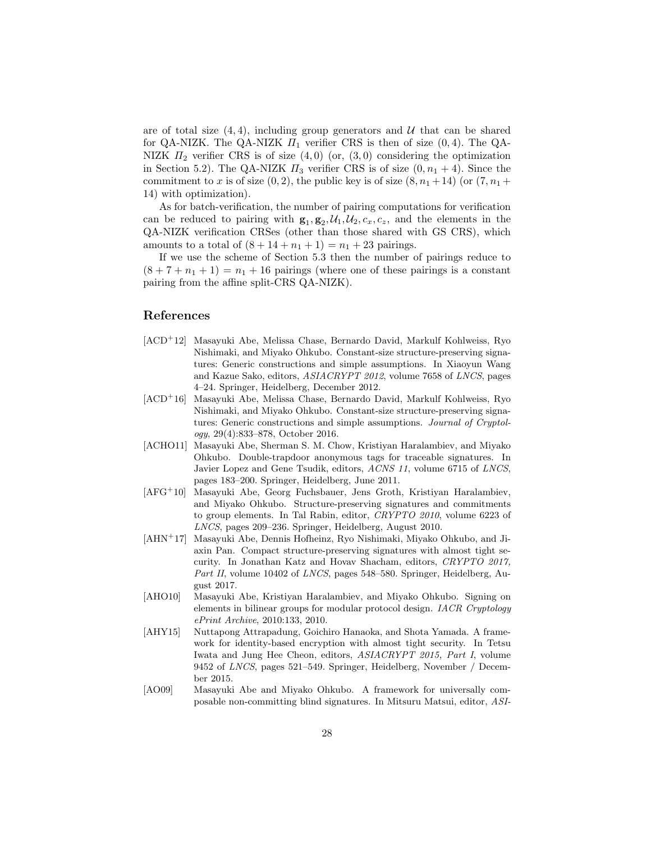are of total size  $(4, 4)$ , including group generators and U that can be shared for QA-NIZK. The QA-NIZK  $\Pi_1$  verifier CRS is then of size (0,4). The QA-NIZK  $\Pi_2$  verifier CRS is of size  $(4,0)$  (or,  $(3,0)$  considering the optimization in Section 5.2). The QA-NIZK  $\Pi_3$  verifier CRS is of size  $(0, n_1 + 4)$ . Since the commitment to x is of size  $(0, 2)$ , the public key is of size  $(8, n<sub>1</sub> + 14)$  (or  $(7, n<sub>1</sub> +$ 14) with optimization).

As for batch-verification, the number of pairing computations for verification can be reduced to pairing with  $\mathbf{g}_1, \mathbf{g}_2, \mathcal{U}_1, \mathcal{U}_2, c_x, c_z$ , and the elements in the QA-NIZK verification CRSes (other than those shared with GS CRS), which amounts to a total of  $(8 + 14 + n_1 + 1) = n_1 + 23$  pairings.

If we use the scheme of Section 5.3 then the number of pairings reduce to  $(8 + 7 + n<sub>1</sub> + 1) = n<sub>1</sub> + 16$  pairings (where one of these pairings is a constant pairing from the affine split-CRS QA-NIZK).

### References

- [ACD<sup>+</sup>12] Masayuki Abe, Melissa Chase, Bernardo David, Markulf Kohlweiss, Ryo Nishimaki, and Miyako Ohkubo. Constant-size structure-preserving signatures: Generic constructions and simple assumptions. In Xiaoyun Wang and Kazue Sako, editors, ASIACRYPT 2012, volume 7658 of LNCS, pages 4–24. Springer, Heidelberg, December 2012.
- [ACD<sup>+</sup>16] Masayuki Abe, Melissa Chase, Bernardo David, Markulf Kohlweiss, Ryo Nishimaki, and Miyako Ohkubo. Constant-size structure-preserving signatures: Generic constructions and simple assumptions. Journal of Cryptology, 29(4):833–878, October 2016.
- [ACHO11] Masayuki Abe, Sherman S. M. Chow, Kristiyan Haralambiev, and Miyako Ohkubo. Double-trapdoor anonymous tags for traceable signatures. In Javier Lopez and Gene Tsudik, editors, ACNS 11, volume 6715 of LNCS, pages 183–200. Springer, Heidelberg, June 2011.
- [AFG<sup>+</sup>10] Masayuki Abe, Georg Fuchsbauer, Jens Groth, Kristiyan Haralambiev, and Miyako Ohkubo. Structure-preserving signatures and commitments to group elements. In Tal Rabin, editor, CRYPTO 2010, volume 6223 of LNCS, pages 209–236. Springer, Heidelberg, August 2010.
- [AHN<sup>+</sup>17] Masayuki Abe, Dennis Hofheinz, Ryo Nishimaki, Miyako Ohkubo, and Jiaxin Pan. Compact structure-preserving signatures with almost tight security. In Jonathan Katz and Hovav Shacham, editors, CRYPTO 2017, Part II, volume 10402 of LNCS, pages 548-580. Springer, Heidelberg, August 2017.
- [AHO10] Masayuki Abe, Kristiyan Haralambiev, and Miyako Ohkubo. Signing on elements in bilinear groups for modular protocol design. IACR Cryptology ePrint Archive, 2010:133, 2010.
- [AHY15] Nuttapong Attrapadung, Goichiro Hanaoka, and Shota Yamada. A framework for identity-based encryption with almost tight security. In Tetsu Iwata and Jung Hee Cheon, editors, ASIACRYPT 2015, Part I, volume 9452 of LNCS, pages 521–549. Springer, Heidelberg, November / December 2015.
- [AO09] Masayuki Abe and Miyako Ohkubo. A framework for universally composable non-committing blind signatures. In Mitsuru Matsui, editor, ASI-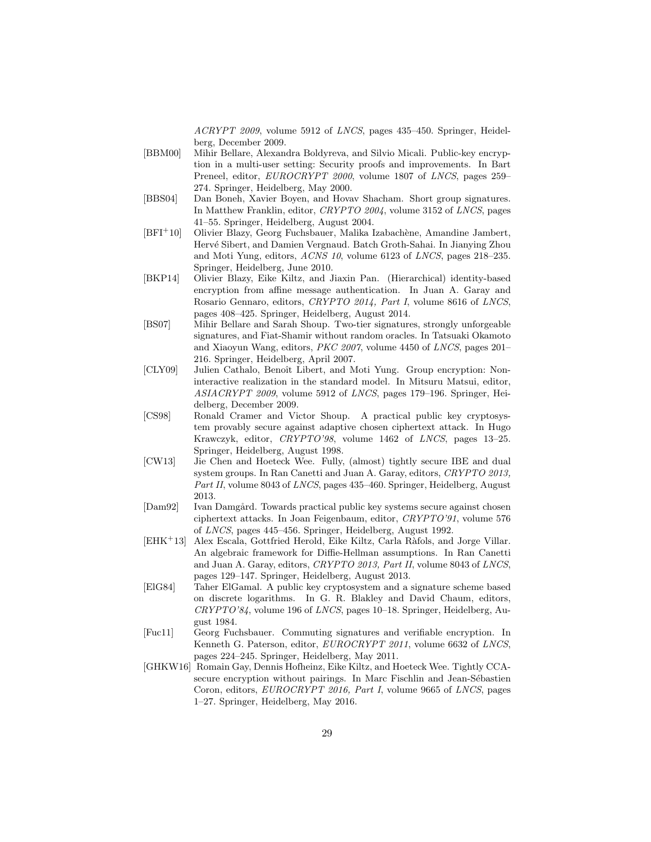ACRYPT 2009, volume 5912 of LNCS, pages 435–450. Springer, Heidelberg, December 2009.

- [BBM00] Mihir Bellare, Alexandra Boldyreva, and Silvio Micali. Public-key encryption in a multi-user setting: Security proofs and improvements. In Bart Preneel, editor, EUROCRYPT 2000, volume 1807 of LNCS, pages 259– 274. Springer, Heidelberg, May 2000.
- [BBS04] Dan Boneh, Xavier Boyen, and Hovav Shacham. Short group signatures. In Matthew Franklin, editor, CRYPTO 2004, volume 3152 of LNCS, pages 41–55. Springer, Heidelberg, August 2004.
- [BFI<sup>+</sup>10] Olivier Blazy, Georg Fuchsbauer, Malika Izabach`ene, Amandine Jambert, Hervé Sibert, and Damien Vergnaud. Batch Groth-Sahai. In Jianying Zhou and Moti Yung, editors, ACNS 10, volume 6123 of LNCS, pages 218–235. Springer, Heidelberg, June 2010.
- [BKP14] Olivier Blazy, Eike Kiltz, and Jiaxin Pan. (Hierarchical) identity-based encryption from affine message authentication. In Juan A. Garay and Rosario Gennaro, editors, CRYPTO 2014, Part I, volume 8616 of LNCS, pages 408–425. Springer, Heidelberg, August 2014.
- [BS07] Mihir Bellare and Sarah Shoup. Two-tier signatures, strongly unforgeable signatures, and Fiat-Shamir without random oracles. In Tatsuaki Okamoto and Xiaoyun Wang, editors, PKC 2007, volume 4450 of LNCS, pages 201– 216. Springer, Heidelberg, April 2007.
- [CLY09] Julien Cathalo, Benoît Libert, and Moti Yung. Group encryption: Noninteractive realization in the standard model. In Mitsuru Matsui, editor, ASIACRYPT 2009, volume 5912 of LNCS, pages 179–196. Springer, Heidelberg, December 2009.
- [CS98] Ronald Cramer and Victor Shoup. A practical public key cryptosystem provably secure against adaptive chosen ciphertext attack. In Hugo Krawczyk, editor, CRYPTO'98, volume 1462 of LNCS, pages 13–25. Springer, Heidelberg, August 1998.
- [CW13] Jie Chen and Hoeteck Wee. Fully, (almost) tightly secure IBE and dual system groups. In Ran Canetti and Juan A. Garay, editors, CRYPTO 2013, Part II, volume 8043 of LNCS, pages 435-460. Springer, Heidelberg, August 2013.
- [Dam92] Ivan Damgård. Towards practical public key systems secure against chosen ciphertext attacks. In Joan Feigenbaum, editor, CRYPTO'91, volume 576 of LNCS, pages 445–456. Springer, Heidelberg, August 1992.
- [EHK<sup>+</sup>13] Alex Escala, Gottfried Herold, Eike Kiltz, Carla R`afols, and Jorge Villar. An algebraic framework for Diffie-Hellman assumptions. In Ran Canetti and Juan A. Garay, editors, CRYPTO 2013, Part II, volume 8043 of LNCS, pages 129–147. Springer, Heidelberg, August 2013.
- [ElG84] Taher ElGamal. A public key cryptosystem and a signature scheme based on discrete logarithms. In G. R. Blakley and David Chaum, editors, CRYPTO'84, volume 196 of LNCS, pages 10–18. Springer, Heidelberg, August 1984.
- [Fuc11] Georg Fuchsbauer. Commuting signatures and verifiable encryption. In Kenneth G. Paterson, editor, EUROCRYPT 2011, volume 6632 of LNCS, pages 224–245. Springer, Heidelberg, May 2011.
- [GHKW16] Romain Gay, Dennis Hofheinz, Eike Kiltz, and Hoeteck Wee. Tightly CCAsecure encryption without pairings. In Marc Fischlin and Jean-Sébastien Coron, editors, EUROCRYPT 2016, Part I, volume 9665 of LNCS, pages 1–27. Springer, Heidelberg, May 2016.